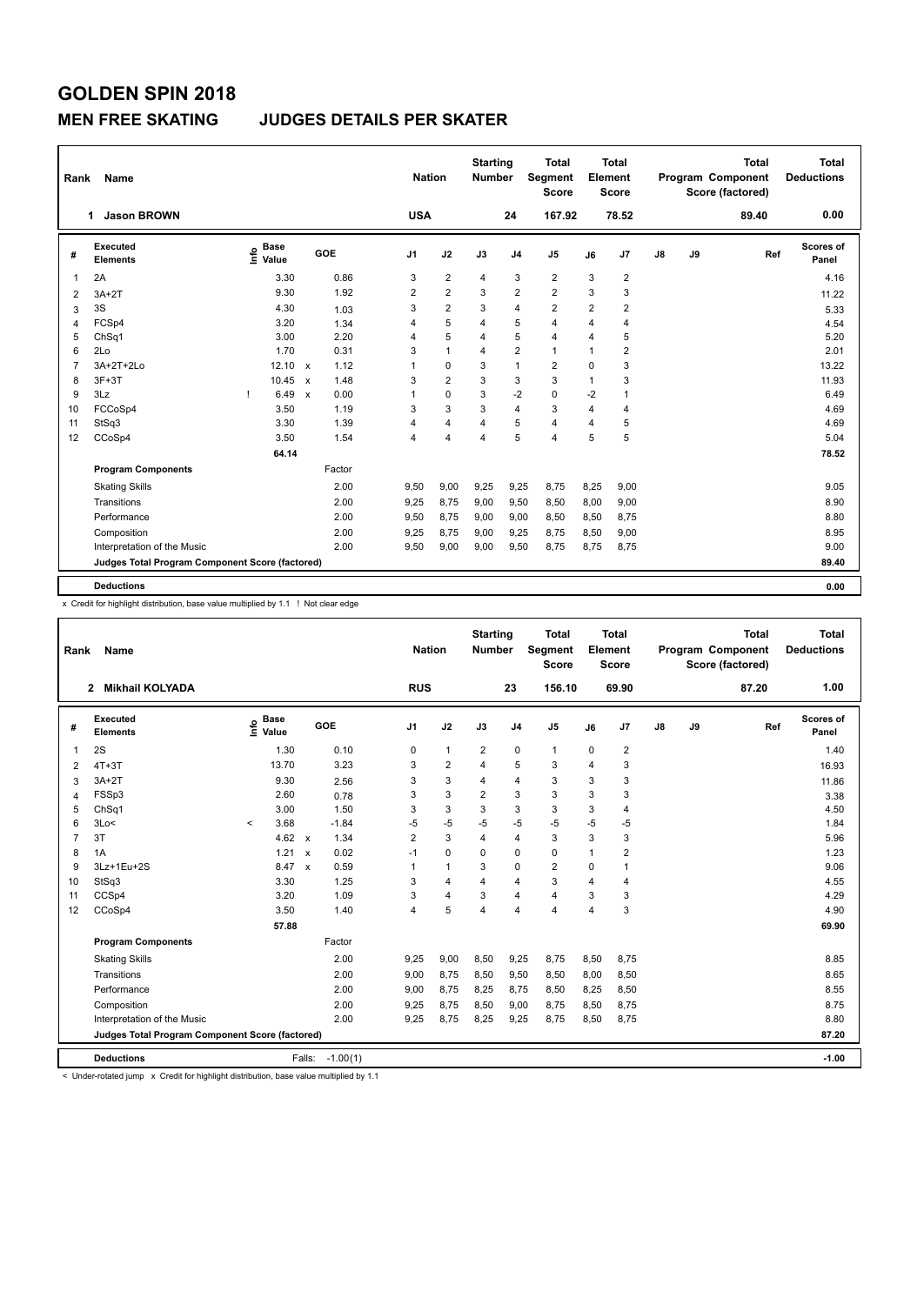### **MEN FREE SKATING JUDGES DETAILS PER SKATER**

| Rank           | Name                                            |                                  |                                   | <b>Nation</b>  |                | <b>Starting</b><br><b>Number</b> |                         | <b>Total</b><br>Segment<br><b>Score</b> |                | <b>Total</b><br>Element<br><b>Score</b> |    |    | <b>Total</b><br><b>Program Component</b><br>Score (factored) | Total<br><b>Deductions</b> |
|----------------|-------------------------------------------------|----------------------------------|-----------------------------------|----------------|----------------|----------------------------------|-------------------------|-----------------------------------------|----------------|-----------------------------------------|----|----|--------------------------------------------------------------|----------------------------|
|                | <b>Jason BROWN</b><br>1.                        |                                  |                                   | <b>USA</b>     |                |                                  | 24                      | 167.92                                  |                | 78.52                                   |    |    | 89.40                                                        | 0.00                       |
| #              | <b>Executed</b><br><b>Elements</b>              | <b>Base</b><br>e Base<br>⊆ Value | <b>GOE</b>                        | J1             | J2             | J3                               | J <sub>4</sub>          | J <sub>5</sub>                          | J6             | J7                                      | J8 | J9 | Ref                                                          | Scores of<br>Panel         |
| 1              | 2A                                              | 3.30                             | 0.86                              | 3              | 2              | $\overline{4}$                   | 3                       | $\overline{\mathbf{c}}$                 | 3              | $\overline{\mathbf{c}}$                 |    |    |                                                              | 4.16                       |
| $\overline{2}$ | $3A+2T$                                         | 9.30                             | 1.92                              | $\overline{2}$ | $\overline{2}$ | 3                                | $\overline{2}$          | $\overline{2}$                          | 3              | 3                                       |    |    |                                                              | 11.22                      |
| 3              | 3S                                              | 4.30                             | 1.03                              | 3              | 2              | 3                                | $\overline{\mathbf{4}}$ | $\overline{\mathbf{c}}$                 | $\overline{2}$ | $\overline{\mathbf{c}}$                 |    |    |                                                              | 5.33                       |
| 4              | FCSp4                                           | 3.20                             | 1.34                              | 4              | 5              | 4                                | 5                       | $\overline{4}$                          | $\overline{4}$ | $\overline{4}$                          |    |    |                                                              | 4.54                       |
| 5              | ChSq1                                           | 3.00                             | 2.20                              | 4              | 5              | 4                                | 5                       | $\overline{4}$                          | $\overline{4}$ | 5                                       |    |    |                                                              | 5.20                       |
| 6              | 2Lo                                             | 1.70                             | 0.31                              | 3              | $\mathbf{1}$   | 4                                | $\overline{\mathbf{c}}$ | $\mathbf{1}$                            | $\overline{1}$ | $\overline{\mathbf{c}}$                 |    |    |                                                              | 2.01                       |
| 7              | 3A+2T+2Lo                                       | 12.10                            | 1.12<br>$\mathbf{x}$              | 1              | 0              | 3                                | $\overline{1}$          | $\overline{2}$                          | $\mathbf 0$    | 3                                       |    |    |                                                              | 13.22                      |
| 8              | $3F+3T$                                         | 10.45                            | 1.48<br>$\boldsymbol{\mathsf{x}}$ | 3              | $\overline{2}$ | 3                                | 3                       | 3                                       | $\mathbf{1}$   | 3                                       |    |    |                                                              | 11.93                      |
| 9              | 3Lz                                             | 6.49<br>Τ.                       | 0.00<br>$\boldsymbol{\mathsf{x}}$ | 1              | $\mathbf 0$    | 3                                | $-2$                    | $\mathbf 0$                             | $-2$           | 1                                       |    |    |                                                              | 6.49                       |
| 10             | FCCoSp4                                         | 3.50                             | 1.19                              | 3              | 3              | 3                                | $\overline{4}$          | 3                                       | $\overline{4}$ | $\overline{4}$                          |    |    |                                                              | 4.69                       |
| 11             | StSq3                                           | 3.30                             | 1.39                              | 4              | 4              | 4                                | 5                       | $\overline{4}$                          | $\overline{4}$ | 5                                       |    |    |                                                              | 4.69                       |
| 12             | CCoSp4                                          | 3.50                             | 1.54                              | 4              | 4              | 4                                | 5                       | $\overline{4}$                          | 5              | 5                                       |    |    |                                                              | 5.04                       |
|                |                                                 | 64.14                            |                                   |                |                |                                  |                         |                                         |                |                                         |    |    |                                                              | 78.52                      |
|                | <b>Program Components</b>                       |                                  | Factor                            |                |                |                                  |                         |                                         |                |                                         |    |    |                                                              |                            |
|                | <b>Skating Skills</b>                           |                                  | 2.00                              | 9,50           | 9,00           | 9,25                             | 9,25                    | 8,75                                    | 8,25           | 9,00                                    |    |    |                                                              | 9.05                       |
|                | Transitions                                     |                                  | 2.00                              | 9,25           | 8,75           | 9,00                             | 9,50                    | 8,50                                    | 8,00           | 9,00                                    |    |    |                                                              | 8.90                       |
|                | Performance                                     |                                  | 2.00                              | 9,50           | 8,75           | 9,00                             | 9,00                    | 8,50                                    | 8,50           | 8,75                                    |    |    |                                                              | 8.80                       |
|                | Composition                                     |                                  | 2.00                              | 9,25           | 8,75           | 9,00                             | 9,25                    | 8,75                                    | 8,50           | 9,00                                    |    |    |                                                              | 8.95                       |
|                | Interpretation of the Music                     |                                  | 2.00                              | 9,50           | 9,00           | 9,00                             | 9,50                    | 8,75                                    | 8,75           | 8,75                                    |    |    |                                                              | 9.00                       |
|                | Judges Total Program Component Score (factored) |                                  |                                   |                |                |                                  |                         |                                         |                |                                         |    |    |                                                              | 89.40                      |
|                | <b>Deductions</b>                               |                                  |                                   |                |                |                                  |                         |                                         |                |                                         |    |    |                                                              | 0.00                       |

x Credit for highlight distribution, base value multiplied by 1.1 ! Not clear edge

| Rank           | <b>Name</b>                                     |                                    |                                   | <b>Nation</b>  |                         | <b>Starting</b><br><b>Number</b> |                | <b>Total</b><br>Segment<br><b>Score</b> |                         | <b>Total</b><br>Element<br><b>Score</b> |    |    | <b>Total</b><br>Program Component<br>Score (factored) | <b>Total</b><br><b>Deductions</b> |
|----------------|-------------------------------------------------|------------------------------------|-----------------------------------|----------------|-------------------------|----------------------------------|----------------|-----------------------------------------|-------------------------|-----------------------------------------|----|----|-------------------------------------------------------|-----------------------------------|
|                | <b>Mikhail KOLYADA</b><br>$\mathbf{2}$          |                                    |                                   | <b>RUS</b>     |                         |                                  | 23             | 156.10                                  |                         | 69.90                                   |    |    | 87.20                                                 | 1.00                              |
| #              | Executed<br><b>Elements</b>                     | <b>Base</b><br>$\frac{6}{5}$ Value | <b>GOE</b>                        | J <sub>1</sub> | J2                      | J3                               | J <sub>4</sub> | J <sub>5</sub>                          | J6                      | J7                                      | J8 | J9 | Ref                                                   | Scores of<br>Panel                |
| $\mathbf{1}$   | 2S                                              | 1.30                               | 0.10                              | 0              | $\mathbf{1}$            | $\overline{2}$                   | $\mathbf 0$    | $\mathbf{1}$                            | 0                       | $\overline{\mathbf{c}}$                 |    |    |                                                       | 1.40                              |
| 2              | $4T+3T$                                         | 13.70                              | 3.23                              | 3              | $\overline{\mathbf{c}}$ | $\overline{4}$                   | 5              | 3                                       | 4                       | 3                                       |    |    |                                                       | 16.93                             |
| 3              | $3A+2T$                                         | 9.30                               | 2.56                              | 3              | 3                       | 4                                | $\overline{4}$ | 3                                       | 3                       | 3                                       |    |    |                                                       | 11.86                             |
| 4              | FSSp3                                           | 2.60                               | 0.78                              | 3              | 3                       | 2                                | 3              | 3                                       | 3                       | 3                                       |    |    |                                                       | 3.38                              |
| 5              | ChSq1                                           | 3.00                               | 1.50                              | 3              | 3                       | 3                                | 3              | 3                                       | 3                       | $\overline{4}$                          |    |    |                                                       | 4.50                              |
| 6              | 3Lo<                                            | 3.68<br>$\prec$                    | $-1.84$                           | $-5$           | $-5$                    | -5                               | $-5$           | $-5$                                    | $-5$                    | $-5$                                    |    |    |                                                       | 1.84                              |
| $\overline{7}$ | 3T                                              | 4.62                               | 1.34<br>$\mathsf{x}$              | 2              | 3                       | $\overline{4}$                   | $\overline{4}$ | 3                                       | 3                       | 3                                       |    |    |                                                       | 5.96                              |
| 8              | 1A                                              | 1.21                               | 0.02<br>$\boldsymbol{\mathsf{x}}$ | $-1$           | 0                       | $\Omega$                         | 0              | 0                                       | 1                       | $\overline{\mathbf{c}}$                 |    |    |                                                       | 1.23                              |
| 9              | 3Lz+1Eu+2S                                      | 8.47                               | 0.59<br>$\mathsf{x}$              | 1              | $\mathbf{1}$            | 3                                | $\mathbf 0$    | $\overline{2}$                          | 0                       | 1                                       |    |    |                                                       | 9.06                              |
| 10             | StSq3                                           | 3.30                               | 1.25                              | 3              | $\overline{4}$          | $\overline{4}$                   | $\overline{4}$ | 3                                       | $\overline{\mathbf{4}}$ | $\overline{4}$                          |    |    |                                                       | 4.55                              |
| 11             | CCSp4                                           | 3.20                               | 1.09                              | 3              | 4                       | 3                                | $\overline{4}$ | $\overline{4}$                          | 3                       | 3                                       |    |    |                                                       | 4.29                              |
| 12             | CCoSp4                                          | 3.50                               | 1.40                              | 4              | 5                       | $\overline{\mathbf{4}}$          | $\overline{4}$ | $\overline{4}$                          | 4                       | 3                                       |    |    |                                                       | 4.90                              |
|                |                                                 | 57.88                              |                                   |                |                         |                                  |                |                                         |                         |                                         |    |    |                                                       | 69.90                             |
|                | <b>Program Components</b>                       |                                    | Factor                            |                |                         |                                  |                |                                         |                         |                                         |    |    |                                                       |                                   |
|                | <b>Skating Skills</b>                           |                                    | 2.00                              | 9,25           | 9,00                    | 8,50                             | 9,25           | 8,75                                    | 8,50                    | 8,75                                    |    |    |                                                       | 8.85                              |
|                | Transitions                                     |                                    | 2.00                              | 9,00           | 8,75                    | 8,50                             | 9,50           | 8,50                                    | 8,00                    | 8,50                                    |    |    |                                                       | 8.65                              |
|                | Performance                                     |                                    | 2.00                              | 9,00           | 8,75                    | 8,25                             | 8,75           | 8,50                                    | 8,25                    | 8,50                                    |    |    |                                                       | 8.55                              |
|                | Composition                                     |                                    | 2.00                              | 9,25           | 8,75                    | 8,50                             | 9,00           | 8,75                                    | 8,50                    | 8,75                                    |    |    |                                                       | 8.75                              |
|                | Interpretation of the Music                     |                                    | 2.00                              | 9,25           | 8,75                    | 8,25                             | 9,25           | 8,75                                    | 8,50                    | 8,75                                    |    |    |                                                       | 8.80                              |
|                | Judges Total Program Component Score (factored) |                                    |                                   |                |                         |                                  |                |                                         |                         |                                         |    |    |                                                       | 87.20                             |
|                | <b>Deductions</b>                               |                                    | $-1.00(1)$<br>Falls:              |                |                         |                                  |                |                                         |                         |                                         |    |    |                                                       | $-1.00$                           |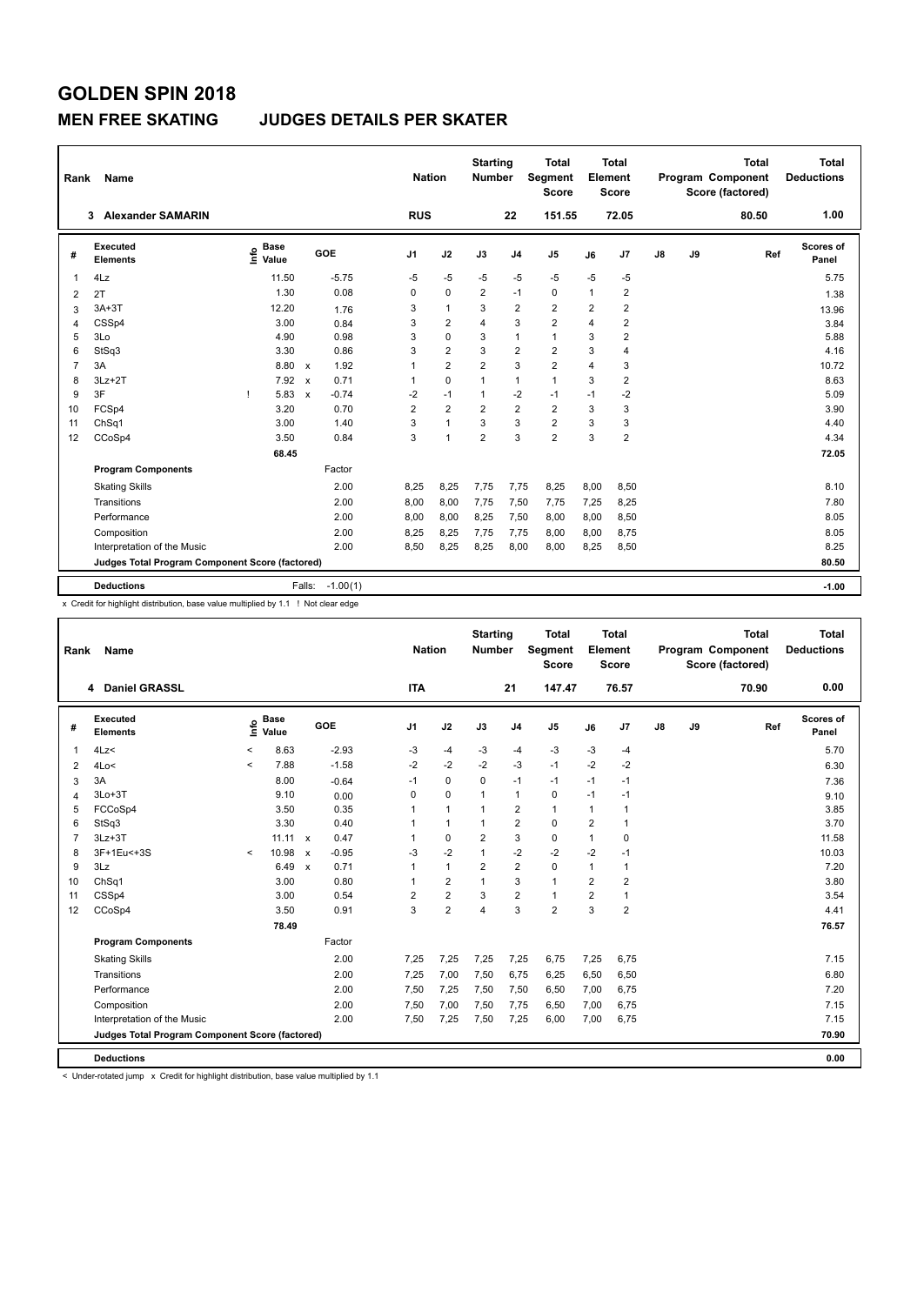### **MEN FREE SKATING JUDGES DETAILS PER SKATER**

| Rank           | Name                                            |                            |                         | <b>Nation</b>  |                | <b>Starting</b><br><b>Number</b> |                | <b>Total</b><br>Segment<br><b>Score</b> |                | <b>Total</b><br>Element<br>Score |               |    | <b>Total</b><br><b>Program Component</b><br>Score (factored) | <b>Total</b><br><b>Deductions</b> |
|----------------|-------------------------------------------------|----------------------------|-------------------------|----------------|----------------|----------------------------------|----------------|-----------------------------------------|----------------|----------------------------------|---------------|----|--------------------------------------------------------------|-----------------------------------|
|                | <b>Alexander SAMARIN</b><br>3                   |                            |                         | <b>RUS</b>     |                |                                  | 22             | 151.55                                  |                | 72.05                            |               |    | 80.50                                                        | 1.00                              |
| #              | Executed<br><b>Elements</b>                     | <b>Base</b><br>۴ů<br>Value | GOE                     | J <sub>1</sub> | J2             | J3                               | J <sub>4</sub> | J5                                      | J6             | J7                               | $\mathsf{J}8$ | J9 | Ref                                                          | Scores of<br>Panel                |
| 1              | 4Lz                                             | 11.50                      | $-5.75$                 | $-5$           | $-5$           | $-5$                             | $-5$           | $-5$                                    | $-5$           | $-5$                             |               |    |                                                              | 5.75                              |
| $\overline{2}$ | 2T                                              | 1.30                       | 0.08                    | 0              | $\Omega$       | $\overline{2}$                   | $-1$           | $\mathbf 0$                             | $\mathbf{1}$   | $\overline{2}$                   |               |    |                                                              | 1.38                              |
| 3              | $3A+3T$                                         | 12.20                      | 1.76                    | 3              | $\mathbf{1}$   | 3                                | $\overline{2}$ | $\overline{2}$                          | $\overline{2}$ | $\overline{2}$                   |               |    |                                                              | 13.96                             |
| 4              | CSSp4                                           | 3.00                       | 0.84                    | 3              | $\overline{2}$ | 4                                | 3              | $\overline{2}$                          | $\overline{4}$ | $\overline{\mathbf{c}}$          |               |    |                                                              | 3.84                              |
| 5              | 3Lo                                             | 4.90                       | 0.98                    | 3              | 0              | 3                                | $\mathbf{1}$   | $\mathbf{1}$                            | 3              | $\overline{\mathbf{c}}$          |               |    |                                                              | 5.88                              |
| 6              | StSq3                                           | 3.30                       | 0.86                    | 3              | $\overline{2}$ | 3                                | $\overline{2}$ | $\overline{2}$                          | 3              | $\overline{4}$                   |               |    |                                                              | 4.16                              |
| 7              | 3A                                              | 8.80                       | 1.92<br>$\mathsf{x}$    | 1              | $\overline{2}$ | $\overline{2}$                   | 3              | $\overline{2}$                          | 4              | 3                                |               |    |                                                              | 10.72                             |
| 8              | $3Lz + 2T$                                      | 7.92                       | 0.71<br>$\mathsf{x}$    | 1              | $\mathbf 0$    | 1                                | $\mathbf{1}$   | $\mathbf{1}$                            | 3              | $\overline{\mathbf{c}}$          |               |    |                                                              | 8.63                              |
| 9              | 3F                                              | 5.83<br>J.                 | $-0.74$<br>$\mathbf{x}$ | $-2$           | $-1$           | 1                                | $-2$           | $-1$                                    | $-1$           | $-2$                             |               |    |                                                              | 5.09                              |
| 10             | FCSp4                                           | 3.20                       | 0.70                    | $\overline{2}$ | $\overline{2}$ | $\overline{2}$                   | $\overline{2}$ | $\overline{2}$                          | 3              | 3                                |               |    |                                                              | 3.90                              |
| 11             | ChSq1                                           | 3.00                       | 1.40                    | 3              | $\mathbf{1}$   | 3                                | 3              | $\overline{2}$                          | 3              | 3                                |               |    |                                                              | 4.40                              |
| 12             | CCoSp4                                          | 3.50                       | 0.84                    | 3              | $\mathbf{1}$   | $\overline{2}$                   | 3              | $\overline{2}$                          | 3              | $\overline{2}$                   |               |    |                                                              | 4.34                              |
|                |                                                 | 68.45                      |                         |                |                |                                  |                |                                         |                |                                  |               |    |                                                              | 72.05                             |
|                | <b>Program Components</b>                       |                            | Factor                  |                |                |                                  |                |                                         |                |                                  |               |    |                                                              |                                   |
|                | <b>Skating Skills</b>                           |                            | 2.00                    | 8,25           | 8,25           | 7,75                             | 7,75           | 8,25                                    | 8,00           | 8,50                             |               |    |                                                              | 8.10                              |
|                | Transitions                                     |                            | 2.00                    | 8,00           | 8,00           | 7,75                             | 7,50           | 7,75                                    | 7,25           | 8,25                             |               |    |                                                              | 7.80                              |
|                | Performance                                     |                            | 2.00                    | 8,00           | 8,00           | 8,25                             | 7,50           | 8,00                                    | 8,00           | 8,50                             |               |    |                                                              | 8.05                              |
|                | Composition                                     |                            | 2.00                    | 8,25           | 8,25           | 7,75                             | 7,75           | 8,00                                    | 8,00           | 8,75                             |               |    |                                                              | 8.05                              |
|                | Interpretation of the Music                     |                            | 2.00                    | 8,50           | 8,25           | 8,25                             | 8,00           | 8,00                                    | 8,25           | 8,50                             |               |    |                                                              | 8.25                              |
|                | Judges Total Program Component Score (factored) |                            |                         |                |                |                                  |                |                                         |                |                                  |               |    |                                                              | 80.50                             |
|                |                                                 |                            |                         |                |                |                                  |                |                                         |                |                                  |               |    |                                                              |                                   |
|                | <b>Deductions</b>                               |                            | $-1.00(1)$<br>Falls:    |                |                |                                  |                |                                         |                |                                  |               |    |                                                              | $-1.00$                           |

x Credit for highlight distribution, base value multiplied by 1.1 ! Not clear edge

| Rank           | <b>Name</b>                                     |         |                      |                           |         | <b>Nation</b>  |                | <b>Starting</b><br>Number |                | <b>Total</b><br>Segment<br><b>Score</b> |                | <b>Total</b><br>Element<br>Score |    |    | <b>Total</b><br>Program Component<br>Score (factored) | <b>Total</b><br><b>Deductions</b> |
|----------------|-------------------------------------------------|---------|----------------------|---------------------------|---------|----------------|----------------|---------------------------|----------------|-----------------------------------------|----------------|----------------------------------|----|----|-------------------------------------------------------|-----------------------------------|
|                | <b>Daniel GRASSL</b><br>4                       |         |                      |                           |         | <b>ITA</b>     |                |                           | 21             | 147.47                                  |                | 76.57                            |    |    | 70.90                                                 | 0.00                              |
| #              | Executed<br><b>Elements</b>                     | ١nfo    | <b>Base</b><br>Value |                           | GOE     | J <sub>1</sub> | J2             | J3                        | J <sub>4</sub> | J <sub>5</sub>                          | J6             | J7                               | J8 | J9 | Ref                                                   | Scores of<br>Panel                |
| 1              | 4Lz<                                            | $\,<$   | 8.63                 |                           | $-2.93$ | -3             | $-4$           | -3                        | $-4$           | -3                                      | -3             | $-4$                             |    |    |                                                       | 5.70                              |
| 2              | 4Lo<                                            | $\prec$ | 7.88                 |                           | $-1.58$ | $-2$           | $-2$           | $-2$                      | $-3$           | $-1$                                    | $-2$           | $-2$                             |    |    |                                                       | 6.30                              |
| 3              | 3A                                              |         | 8.00                 |                           | $-0.64$ | $-1$           | 0              | 0                         | $-1$           | $-1$                                    | $-1$           | $-1$                             |    |    |                                                       | 7.36                              |
| 4              | $3Lo+3T$                                        |         | 9.10                 |                           | 0.00    | $\Omega$       | $\mathbf 0$    | $\mathbf 1$               | $\mathbf{1}$   | 0                                       | $-1$           | $-1$                             |    |    |                                                       | 9.10                              |
| 5              | FCCoSp4                                         |         | 3.50                 |                           | 0.35    | 1              | $\mathbf{1}$   | 1                         | $\overline{2}$ | $\mathbf{1}$                            | $\mathbf{1}$   | 1                                |    |    |                                                       | 3.85                              |
| 6              | StSq3                                           |         | 3.30                 |                           | 0.40    | 1              | $\mathbf{1}$   | 1                         | $\overline{2}$ | $\mathbf 0$                             | $\overline{2}$ | 1                                |    |    |                                                       | 3.70                              |
| $\overline{7}$ | $3Lz + 3T$                                      |         | 11.11 x              |                           | 0.47    | 1              | $\mathbf 0$    | $\overline{2}$            | 3              | $\mathbf 0$                             | 1              | 0                                |    |    |                                                       | 11.58                             |
| 8              | 3F+1Eu<+3S                                      | $\prec$ | 10.98                | $\mathsf{x}$              | $-0.95$ | -3             | $-2$           |                           | $-2$           | $-2$                                    | $-2$           | $-1$                             |    |    |                                                       | 10.03                             |
| 9              | 3Lz                                             |         | 6.49                 | $\boldsymbol{\mathsf{x}}$ | 0.71    | 1              | $\mathbf{1}$   | $\overline{2}$            | $\overline{2}$ | $\mathbf 0$                             | 1              | 1                                |    |    |                                                       | 7.20                              |
| 10             | ChSq1                                           |         | 3.00                 |                           | 0.80    | 1              | $\overline{2}$ | $\mathbf{1}$              | 3              | $\mathbf{1}$                            | $\overline{2}$ | $\overline{2}$                   |    |    |                                                       | 3.80                              |
| 11             | CSSp4                                           |         | 3.00                 |                           | 0.54    | $\overline{2}$ | $\overline{2}$ | 3                         | $\overline{2}$ | $\mathbf{1}$                            | $\overline{2}$ | 1                                |    |    |                                                       | 3.54                              |
| 12             | CCoSp4                                          |         | 3.50                 |                           | 0.91    | 3              | $\overline{2}$ | $\overline{4}$            | 3              | $\overline{2}$                          | 3              | $\overline{\mathbf{c}}$          |    |    |                                                       | 4.41                              |
|                |                                                 |         | 78.49                |                           |         |                |                |                           |                |                                         |                |                                  |    |    |                                                       | 76.57                             |
|                | <b>Program Components</b>                       |         |                      |                           | Factor  |                |                |                           |                |                                         |                |                                  |    |    |                                                       |                                   |
|                | <b>Skating Skills</b>                           |         |                      |                           | 2.00    | 7,25           | 7,25           | 7,25                      | 7,25           | 6,75                                    | 7,25           | 6,75                             |    |    |                                                       | 7.15                              |
|                | Transitions                                     |         |                      |                           | 2.00    | 7,25           | 7,00           | 7,50                      | 6,75           | 6,25                                    | 6,50           | 6,50                             |    |    |                                                       | 6.80                              |
|                | Performance                                     |         |                      |                           | 2.00    | 7,50           | 7,25           | 7,50                      | 7,50           | 6,50                                    | 7,00           | 6,75                             |    |    |                                                       | 7.20                              |
|                | Composition                                     |         |                      |                           | 2.00    | 7,50           | 7,00           | 7,50                      | 7,75           | 6,50                                    | 7,00           | 6,75                             |    |    |                                                       | 7.15                              |
|                | Interpretation of the Music                     |         |                      |                           | 2.00    | 7,50           | 7,25           | 7,50                      | 7,25           | 6,00                                    | 7,00           | 6,75                             |    |    |                                                       | 7.15                              |
|                | Judges Total Program Component Score (factored) |         |                      |                           |         |                |                |                           |                |                                         |                |                                  |    |    |                                                       | 70.90                             |
|                | <b>Deductions</b>                               |         |                      |                           |         |                |                |                           |                |                                         |                |                                  |    |    |                                                       | 0.00                              |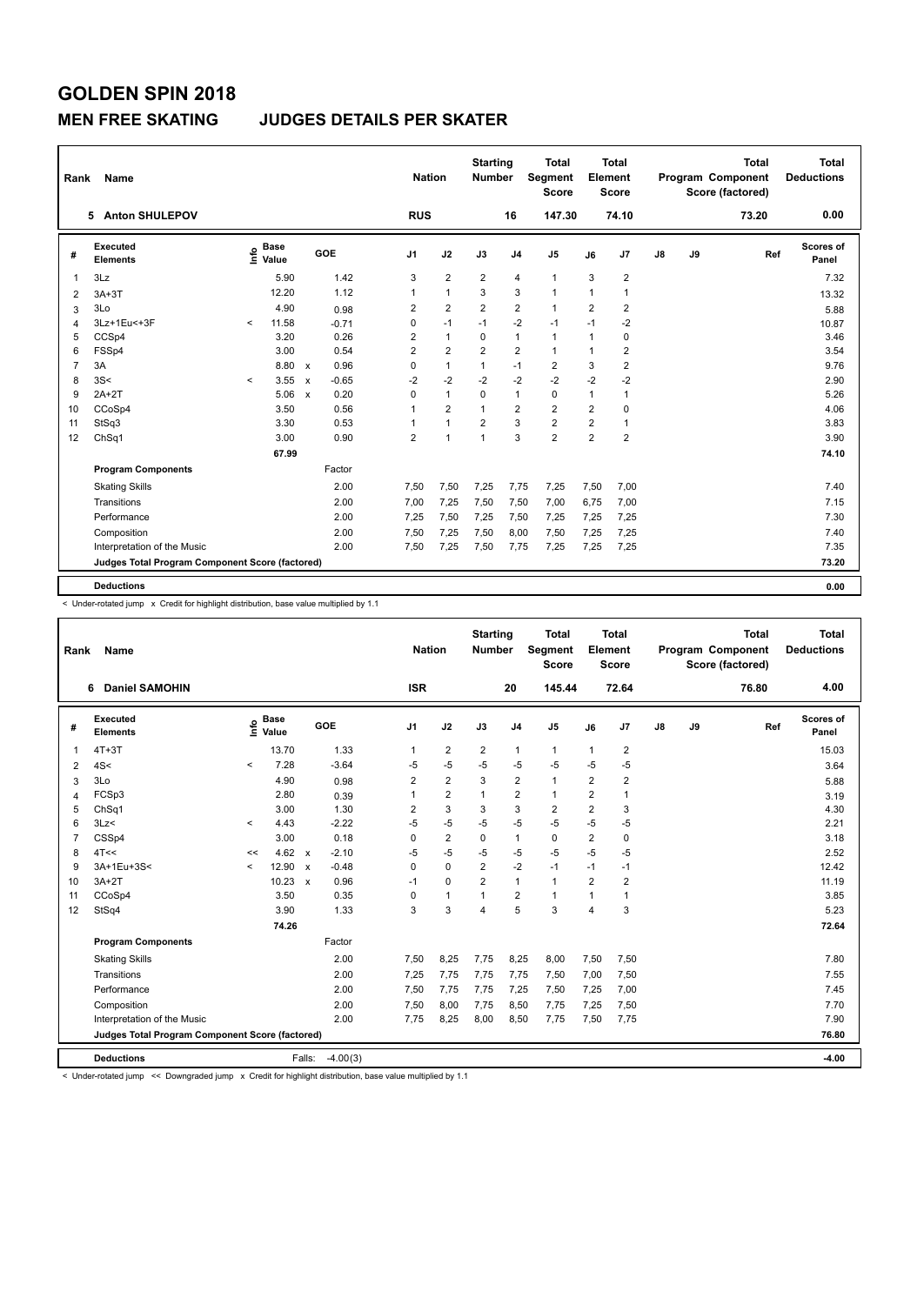#### **MEN FREE SKATING JUDGES DETAILS PER SKATER**

| Rank           | <b>Name</b>                                     |         |                      |                           |         |                | <b>Nation</b>  | <b>Starting</b><br><b>Number</b> |                | <b>Total</b><br>Segment<br><b>Score</b> |                | <b>Total</b><br>Element<br>Score |               |    | <b>Total</b><br><b>Program Component</b><br>Score (factored) |     | Total<br><b>Deductions</b> |
|----------------|-------------------------------------------------|---------|----------------------|---------------------------|---------|----------------|----------------|----------------------------------|----------------|-----------------------------------------|----------------|----------------------------------|---------------|----|--------------------------------------------------------------|-----|----------------------------|
|                | <b>Anton SHULEPOV</b><br>5.                     |         |                      |                           |         | <b>RUS</b>     |                |                                  | 16             | 147.30                                  |                | 74.10                            |               |    | 73.20                                                        |     | 0.00                       |
| #              | Executed<br><b>Elements</b>                     | ١nfo    | <b>Base</b><br>Value |                           | GOE     | J <sub>1</sub> | J2             | J3                               | J <sub>4</sub> | J <sub>5</sub>                          | J6             | J <sub>7</sub>                   | $\mathsf{J}8$ | J9 |                                                              | Ref | Scores of<br>Panel         |
| $\overline{1}$ | 3Lz                                             |         | 5.90                 |                           | 1.42    | 3              | $\overline{2}$ | $\overline{2}$                   | $\overline{4}$ | $\mathbf{1}$                            | 3              | $\overline{\mathbf{c}}$          |               |    |                                                              |     | 7.32                       |
| $\overline{2}$ | $3A+3T$                                         |         | 12.20                |                           | 1.12    | 1              | $\mathbf{1}$   | 3                                | 3              | $\mathbf{1}$                            | 1              | 1                                |               |    |                                                              |     | 13.32                      |
| 3              | 3Lo                                             |         | 4.90                 |                           | 0.98    | 2              | $\overline{2}$ | $\overline{2}$                   | $\overline{2}$ | $\mathbf{1}$                            | $\overline{2}$ | $\overline{2}$                   |               |    |                                                              |     | 5.88                       |
| 4              | 3Lz+1Eu<+3F                                     | $\prec$ | 11.58                |                           | $-0.71$ | 0              | $-1$           | $-1$                             | $-2$           | $-1$                                    | $-1$           | $-2$                             |               |    |                                                              |     | 10.87                      |
| 5              | CCSp4                                           |         | 3.20                 |                           | 0.26    | $\overline{2}$ | $\mathbf{1}$   | $\mathbf 0$                      | $\mathbf{1}$   | $\mathbf{1}$                            | 1              | 0                                |               |    |                                                              |     | 3.46                       |
| 6              | FSSp4                                           |         | 3.00                 |                           | 0.54    | $\overline{2}$ | $\overline{2}$ | $\overline{2}$                   | $\overline{2}$ | $\mathbf{1}$                            | 1              | $\overline{2}$                   |               |    |                                                              |     | 3.54                       |
| $\overline{7}$ | 3A                                              |         | 8.80                 | $\mathsf{x}$              | 0.96    | $\mathbf 0$    | $\mathbf{1}$   | $\mathbf{1}$                     | $-1$           | $\overline{2}$                          | 3              | $\overline{2}$                   |               |    |                                                              |     | 9.76                       |
| 8              | 3S<                                             | $\prec$ | 3.55                 | $\boldsymbol{\mathsf{x}}$ | $-0.65$ | $-2$           | $-2$           | $-2$                             | $-2$           | $-2$                                    | $-2$           | $-2$                             |               |    |                                                              |     | 2.90                       |
| 9              | $2A+2T$                                         |         | 5.06                 | $\boldsymbol{\mathsf{x}}$ | 0.20    | 0              | $\mathbf{1}$   | 0                                | $\mathbf{1}$   | $\mathbf 0$                             | 1              | $\mathbf{1}$                     |               |    |                                                              |     | 5.26                       |
| 10             | CCoSp4                                          |         | 3.50                 |                           | 0.56    |                | $\overline{2}$ | 1                                | $\overline{2}$ | $\overline{2}$                          | $\overline{2}$ | 0                                |               |    |                                                              |     | 4.06                       |
| 11             | StSq3                                           |         | 3.30                 |                           | 0.53    |                | $\mathbf{1}$   | $\overline{2}$                   | 3              | $\overline{2}$                          | $\overline{2}$ | 1                                |               |    |                                                              |     | 3.83                       |
| 12             | ChSq1                                           |         | 3.00                 |                           | 0.90    | $\overline{2}$ | $\mathbf{1}$   | $\overline{1}$                   | 3              | $\overline{2}$                          | $\overline{2}$ | $\overline{2}$                   |               |    |                                                              |     | 3.90                       |
|                |                                                 |         | 67.99                |                           |         |                |                |                                  |                |                                         |                |                                  |               |    |                                                              |     | 74.10                      |
|                | <b>Program Components</b>                       |         |                      |                           | Factor  |                |                |                                  |                |                                         |                |                                  |               |    |                                                              |     |                            |
|                | <b>Skating Skills</b>                           |         |                      |                           | 2.00    | 7,50           | 7,50           | 7,25                             | 7,75           | 7,25                                    | 7,50           | 7,00                             |               |    |                                                              |     | 7.40                       |
|                | Transitions                                     |         |                      |                           | 2.00    | 7,00           | 7,25           | 7,50                             | 7,50           | 7,00                                    | 6,75           | 7,00                             |               |    |                                                              |     | 7.15                       |
|                | Performance                                     |         |                      |                           | 2.00    | 7,25           | 7,50           | 7,25                             | 7,50           | 7,25                                    | 7,25           | 7,25                             |               |    |                                                              |     | 7.30                       |
|                | Composition                                     |         |                      |                           | 2.00    | 7,50           | 7,25           | 7,50                             | 8,00           | 7,50                                    | 7,25           | 7,25                             |               |    |                                                              |     | 7.40                       |
|                | Interpretation of the Music                     |         |                      |                           | 2.00    | 7,50           | 7,25           | 7,50                             | 7,75           | 7,25                                    | 7,25           | 7,25                             |               |    |                                                              |     | 7.35                       |
|                | Judges Total Program Component Score (factored) |         |                      |                           |         |                |                |                                  |                |                                         |                |                                  |               |    |                                                              |     | 73.20                      |
|                | <b>Deductions</b>                               |         |                      |                           |         |                |                |                                  |                |                                         |                |                                  |               |    |                                                              |     | 0.00                       |

< Under-rotated jump x Credit for highlight distribution, base value multiplied by 1.1

| Rank           | Name                                            |              |                                  |              |            | <b>Nation</b>  |                | <b>Starting</b><br><b>Number</b> |                         | <b>Total</b><br>Segment<br><b>Score</b> |                | <b>Total</b><br>Element<br><b>Score</b> |    |    | <b>Total</b><br>Program Component<br>Score (factored) | <b>Total</b><br><b>Deductions</b> |
|----------------|-------------------------------------------------|--------------|----------------------------------|--------------|------------|----------------|----------------|----------------------------------|-------------------------|-----------------------------------------|----------------|-----------------------------------------|----|----|-------------------------------------------------------|-----------------------------------|
|                | <b>Daniel SAMOHIN</b><br>6                      |              |                                  |              |            | <b>ISR</b>     |                |                                  | 20                      | 145.44                                  |                | 72.64                                   |    |    | 76.80                                                 | 4.00                              |
| #              | Executed<br><b>Elements</b>                     |              | <b>Base</b><br>e Base<br>⊆ Value |              | GOE        | J1             | J2             | J3                               | J <sub>4</sub>          | J <sub>5</sub>                          | J6             | J7                                      | J8 | J9 | Ref                                                   | Scores of<br>Panel                |
| 1              | $4T+3T$                                         |              | 13.70                            |              | 1.33       | 1              | $\overline{2}$ | 2                                | $\mathbf{1}$            | $\mathbf{1}$                            | 1              | 2                                       |    |    |                                                       | 15.03                             |
| 2              | 4S<                                             | $\checkmark$ | 7.28                             |              | $-3.64$    | $-5$           | $-5$           | $-5$                             | $-5$                    | $-5$                                    | $-5$           | $-5$                                    |    |    |                                                       | 3.64                              |
| 3              | 3Lo                                             |              | 4.90                             |              | 0.98       | $\overline{2}$ | $\overline{2}$ | 3                                | $\overline{\mathbf{c}}$ | $\mathbf{1}$                            | $\overline{2}$ | 2                                       |    |    |                                                       | 5.88                              |
| $\overline{4}$ | FCSp3                                           |              | 2.80                             |              | 0.39       |                | $\overline{2}$ | 1                                | $\overline{2}$          | $\mathbf{1}$                            | $\overline{2}$ | 1                                       |    |    |                                                       | 3.19                              |
| 5              | ChSq1                                           |              | 3.00                             |              | 1.30       | 2              | 3              | 3                                | 3                       | $\overline{2}$                          | 2              | 3                                       |    |    |                                                       | 4.30                              |
| 6              | 3Lz<                                            | $\checkmark$ | 4.43                             |              | $-2.22$    | $-5$           | $-5$           | -5                               | $-5$                    | $-5$                                    | $-5$           | $-5$                                    |    |    |                                                       | 2.21                              |
| $\overline{7}$ | CSSp4                                           |              | 3.00                             |              | 0.18       | 0              | $\overline{2}$ | 0                                | 1                       | 0                                       | $\overline{2}$ | 0                                       |    |    |                                                       | 3.18                              |
| 8              | 4T<<                                            | <<           | 4.62                             | $\mathsf{x}$ | $-2.10$    | -5             | $-5$           | -5                               | $-5$                    | $-5$                                    | $-5$           | $-5$                                    |    |    |                                                       | 2.52                              |
| 9              | 3A+1Eu+3S<                                      | $\prec$      | 12.90                            | $\mathsf{x}$ | $-0.48$    | 0              | $\mathbf 0$    | $\overline{2}$                   | $-2$                    | $-1$                                    | $-1$           | $-1$                                    |    |    |                                                       | 12.42                             |
| 10             | $3A+2T$                                         |              | 10.23                            | $\mathsf{x}$ | 0.96       | $-1$           | $\mathbf 0$    | $\overline{2}$                   | $\mathbf{1}$            | $\mathbf{1}$                            | $\overline{2}$ | $\overline{\mathbf{c}}$                 |    |    |                                                       | 11.19                             |
| 11             | CCoSp4                                          |              | 3.50                             |              | 0.35       | 0              | $\mathbf{1}$   | $\mathbf 1$                      | $\overline{2}$          | $\mathbf{1}$                            | 1              | 1                                       |    |    |                                                       | 3.85                              |
| 12             | StSq4                                           |              | 3.90                             |              | 1.33       | 3              | 3              | $\overline{\mathbf{A}}$          | 5                       | 3                                       | 4              | 3                                       |    |    |                                                       | 5.23                              |
|                |                                                 |              | 74.26                            |              |            |                |                |                                  |                         |                                         |                |                                         |    |    |                                                       | 72.64                             |
|                | <b>Program Components</b>                       |              |                                  |              | Factor     |                |                |                                  |                         |                                         |                |                                         |    |    |                                                       |                                   |
|                | <b>Skating Skills</b>                           |              |                                  |              | 2.00       | 7,50           | 8,25           | 7,75                             | 8,25                    | 8,00                                    | 7,50           | 7,50                                    |    |    |                                                       | 7.80                              |
|                | Transitions                                     |              |                                  |              | 2.00       | 7,25           | 7,75           | 7,75                             | 7,75                    | 7,50                                    | 7,00           | 7,50                                    |    |    |                                                       | 7.55                              |
|                | Performance                                     |              |                                  |              | 2.00       | 7,50           | 7,75           | 7,75                             | 7,25                    | 7,50                                    | 7,25           | 7,00                                    |    |    |                                                       | 7.45                              |
|                | Composition                                     |              |                                  |              | 2.00       | 7,50           | 8,00           | 7,75                             | 8,50                    | 7,75                                    | 7,25           | 7,50                                    |    |    |                                                       | 7.70                              |
|                | Interpretation of the Music                     |              |                                  |              | 2.00       | 7,75           | 8,25           | 8,00                             | 8,50                    | 7,75                                    | 7,50           | 7,75                                    |    |    |                                                       | 7.90                              |
|                | Judges Total Program Component Score (factored) |              |                                  |              |            |                |                |                                  |                         |                                         |                |                                         |    |    |                                                       | 76.80                             |
|                | <b>Deductions</b>                               |              |                                  | Falls:       | $-4.00(3)$ |                |                |                                  |                         |                                         |                |                                         |    |    |                                                       | $-4.00$                           |

< Under-rotated jump << Downgraded jump x Credit for highlight distribution, base value multiplied by 1.1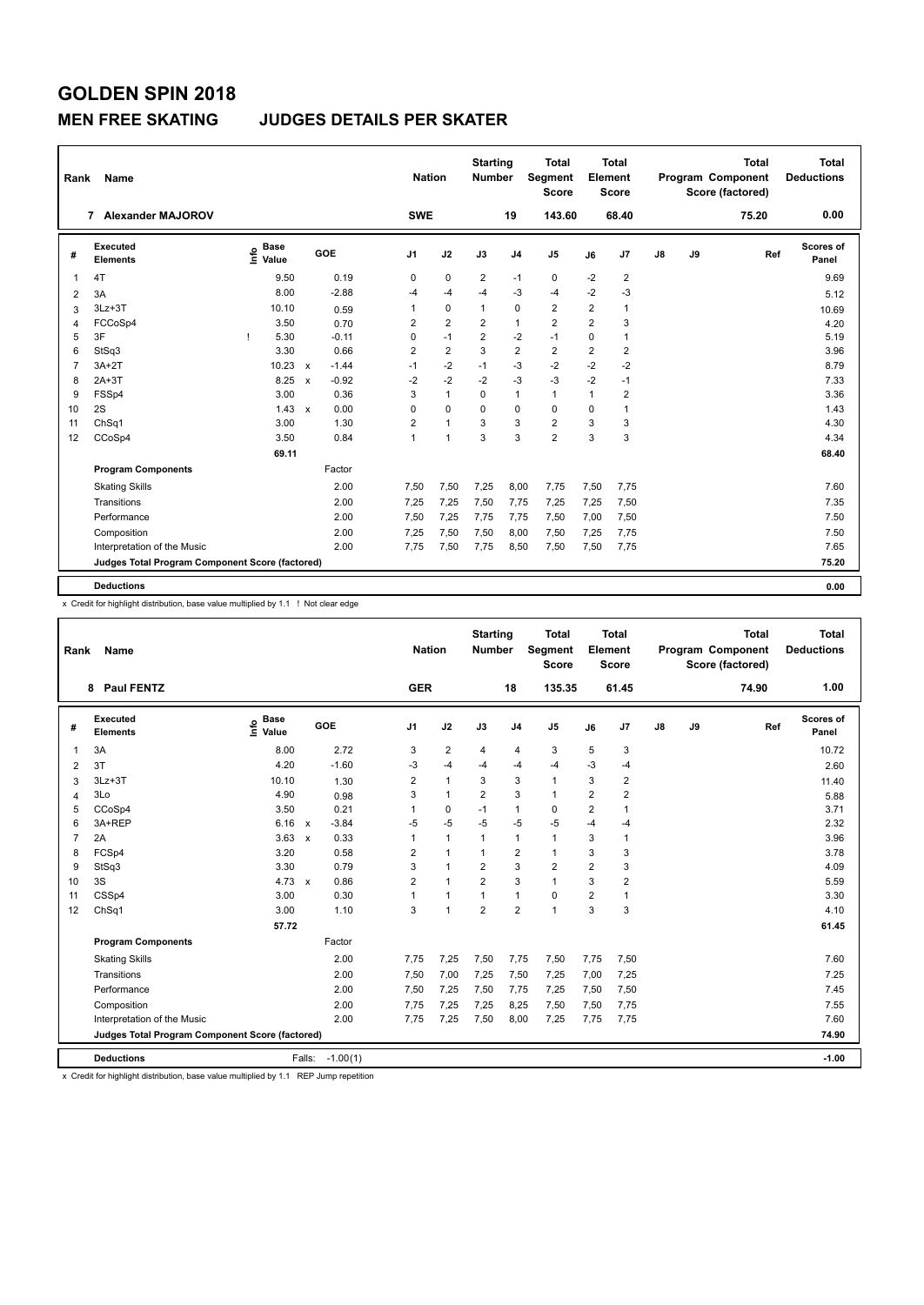### **MEN FREE SKATING JUDGES DETAILS PER SKATER**

| Rank           | Name                                            |                                  |                                      | <b>Nation</b>  |                | <b>Starting</b><br><b>Number</b> |                | <b>Total</b><br>Segment<br><b>Score</b> |                | Total<br>Element<br>Score |    |    | <b>Total</b><br>Program Component<br>Score (factored) | <b>Total</b><br><b>Deductions</b> |
|----------------|-------------------------------------------------|----------------------------------|--------------------------------------|----------------|----------------|----------------------------------|----------------|-----------------------------------------|----------------|---------------------------|----|----|-------------------------------------------------------|-----------------------------------|
|                | 7 Alexander MAJOROV                             |                                  |                                      | <b>SWE</b>     |                |                                  | 19             | 143.60                                  |                | 68.40                     |    |    | 75.20                                                 | 0.00                              |
| #              | Executed<br><b>Elements</b>                     | <b>Base</b><br>e Base<br>E Value | GOE                                  | J <sub>1</sub> | J2             | J3                               | J <sub>4</sub> | J <sub>5</sub>                          | J6             | J <sub>7</sub>            | J8 | J9 | Ref                                                   | Scores of<br>Panel                |
| -1             | 4T                                              | 9.50                             | 0.19                                 | 0              | $\mathbf 0$    | $\overline{2}$                   | $-1$           | $\mathbf 0$                             | $-2$           | $\overline{2}$            |    |    |                                                       | 9.69                              |
| $\overline{2}$ | 3A                                              | 8.00                             | $-2.88$                              | -4             | $-4$           | $-4$                             | $-3$           | $-4$                                    | $-2$           | $-3$                      |    |    |                                                       | 5.12                              |
| 3              | $3Lz + 3T$                                      | 10.10                            | 0.59                                 | 1              | $\Omega$       | $\mathbf{1}$                     | $\Omega$       | $\overline{2}$                          | 2              | $\overline{1}$            |    |    |                                                       | 10.69                             |
| 4              | FCCoSp4                                         | 3.50                             | 0.70                                 | 2              | $\overline{2}$ | $\overline{2}$                   | $\mathbf{1}$   | $\overline{2}$                          | $\overline{2}$ | 3                         |    |    |                                                       | 4.20                              |
| 5              | 3F                                              | 5.30<br>-1                       | $-0.11$                              | 0              | $-1$           | $\overline{2}$                   | $-2$           | $-1$                                    | 0              | $\overline{1}$            |    |    |                                                       | 5.19                              |
| 6              | StSq3                                           | 3.30                             | 0.66                                 | $\overline{2}$ | $\overline{2}$ | 3                                | $\overline{2}$ | $\overline{2}$                          | $\overline{2}$ | $\overline{2}$            |    |    |                                                       | 3.96                              |
| 7              | $3A+2T$                                         | 10.23                            | $-1.44$<br>$\mathsf{x}$              | $-1$           | $-2$           | $-1$                             | $-3$           | $-2$                                    | $-2$           | $-2$                      |    |    |                                                       | 8.79                              |
| 8              | $2A+3T$                                         | 8.25                             | $-0.92$<br>$\boldsymbol{\mathsf{x}}$ | $-2$           | $-2$           | $-2$                             | $-3$           | $-3$                                    | $-2$           | $-1$                      |    |    |                                                       | 7.33                              |
| 9              | FSSp4                                           | 3.00                             | 0.36                                 | 3              | $\mathbf{1}$   | $\Omega$                         | $\mathbf{1}$   | $\mathbf{1}$                            | 1              | $\overline{2}$            |    |    |                                                       | 3.36                              |
| 10             | 2S                                              | 1.43                             | 0.00<br>$\mathbf{x}$                 | 0              | $\Omega$       | $\Omega$                         | $\Omega$       | $\Omega$                                | $\Omega$       | $\overline{1}$            |    |    |                                                       | 1.43                              |
| 11             | ChSq1                                           | 3.00                             | 1.30                                 | 2              | $\mathbf{1}$   | 3                                | 3              | $\overline{2}$                          | 3              | 3                         |    |    |                                                       | 4.30                              |
| 12             | CCoSp4                                          | 3.50                             | 0.84                                 | 1              | 1              | 3                                | 3              | $\overline{2}$                          | 3              | 3                         |    |    |                                                       | 4.34                              |
|                |                                                 | 69.11                            |                                      |                |                |                                  |                |                                         |                |                           |    |    |                                                       | 68.40                             |
|                | <b>Program Components</b>                       |                                  | Factor                               |                |                |                                  |                |                                         |                |                           |    |    |                                                       |                                   |
|                | <b>Skating Skills</b>                           |                                  | 2.00                                 | 7,50           | 7,50           | 7,25                             | 8,00           | 7,75                                    | 7,50           | 7,75                      |    |    |                                                       | 7.60                              |
|                | Transitions                                     |                                  | 2.00                                 | 7,25           | 7,25           | 7,50                             | 7,75           | 7,25                                    | 7,25           | 7,50                      |    |    |                                                       | 7.35                              |
|                | Performance                                     |                                  | 2.00                                 | 7,50           | 7,25           | 7,75                             | 7,75           | 7,50                                    | 7,00           | 7,50                      |    |    |                                                       | 7.50                              |
|                | Composition                                     |                                  | 2.00                                 | 7,25           | 7,50           | 7,50                             | 8,00           | 7,50                                    | 7,25           | 7,75                      |    |    |                                                       | 7.50                              |
|                | Interpretation of the Music                     |                                  | 2.00                                 | 7.75           | 7,50           | 7,75                             | 8,50           | 7,50                                    | 7,50           | 7,75                      |    |    |                                                       | 7.65                              |
|                | Judges Total Program Component Score (factored) |                                  |                                      |                |                |                                  |                |                                         |                |                           |    |    |                                                       | 75.20                             |
|                |                                                 |                                  |                                      |                |                |                                  |                |                                         |                |                           |    |    |                                                       |                                   |
|                | <b>Deductions</b>                               |                                  |                                      |                |                |                                  |                |                                         |                |                           |    |    |                                                       | 0.00                              |

x Credit for highlight distribution, base value multiplied by 1.1 ! Not clear edge

| Rank           | <b>Name</b>                                     |                                  |              |            | <b>Nation</b>  |                | <b>Starting</b><br><b>Number</b> |                | <b>Total</b><br>Segment<br><b>Score</b> |                | <b>Total</b><br>Element<br><b>Score</b> |    |    | <b>Total</b><br>Program Component<br>Score (factored) | <b>Total</b><br><b>Deductions</b> |
|----------------|-------------------------------------------------|----------------------------------|--------------|------------|----------------|----------------|----------------------------------|----------------|-----------------------------------------|----------------|-----------------------------------------|----|----|-------------------------------------------------------|-----------------------------------|
|                | <b>Paul FENTZ</b><br>8                          |                                  |              |            | <b>GER</b>     |                |                                  | 18             | 135.35                                  |                | 61.45                                   |    |    | 74.90                                                 | 1.00                              |
| #              | <b>Executed</b><br><b>Elements</b>              | <b>Base</b><br>e Base<br>⊆ Value |              | GOE        | J <sub>1</sub> | J2             | J3                               | J <sub>4</sub> | J <sub>5</sub>                          | J6             | J7                                      | J8 | J9 | Ref                                                   | Scores of<br>Panel                |
| 1              | 3A                                              | 8.00                             |              | 2.72       | 3              | $\overline{2}$ | 4                                | $\overline{4}$ | 3                                       | 5              | 3                                       |    |    |                                                       | 10.72                             |
| 2              | 3T                                              | 4.20                             |              | $-1.60$    | -3             | $-4$           | -4                               | $-4$           | $-4$                                    | $-3$           | $-4$                                    |    |    |                                                       | 2.60                              |
| 3              | $3Lz + 3T$                                      | 10.10                            |              | 1.30       | $\overline{2}$ | $\mathbf{1}$   | 3                                | 3              | $\mathbf{1}$                            | 3              | $\overline{\mathbf{c}}$                 |    |    |                                                       | 11.40                             |
| $\overline{4}$ | 3Lo                                             | 4.90                             |              | 0.98       | 3              | $\mathbf{1}$   | 2                                | 3              | $\mathbf{1}$                            | $\overline{2}$ | $\overline{\mathbf{c}}$                 |    |    |                                                       | 5.88                              |
| 5              | CCoSp4                                          | 3.50                             |              | 0.21       | 1              | $\mathbf 0$    | $-1$                             | $\mathbf{1}$   | $\mathbf 0$                             | $\overline{2}$ | $\blacktriangleleft$                    |    |    |                                                       | 3.71                              |
| 6              | 3A+REP                                          | 6.16                             | $\mathsf{x}$ | $-3.84$    | -5             | $-5$           | -5                               | $-5$           | $-5$                                    | $-4$           | $-4$                                    |    |    |                                                       | 2.32                              |
| $\overline{7}$ | 2A                                              | 3.63                             | $\mathsf{x}$ | 0.33       | 1              | $\mathbf{1}$   | $\mathbf{1}$                     | $\mathbf{1}$   | $\mathbf{1}$                            | 3              | 1                                       |    |    |                                                       | 3.96                              |
| 8              | FCSp4                                           | 3.20                             |              | 0.58       | $\overline{2}$ | $\mathbf{1}$   | $\mathbf{1}$                     | $\overline{2}$ | $\mathbf{1}$                            | 3              | 3                                       |    |    |                                                       | 3.78                              |
| 9              | StSq3                                           | 3.30                             |              | 0.79       | 3              | $\mathbf{1}$   | $\overline{2}$                   | 3              | $\overline{2}$                          | $\overline{2}$ | 3                                       |    |    |                                                       | 4.09                              |
| 10             | 3S                                              | 4.73 $\times$                    |              | 0.86       | $\overline{2}$ | $\mathbf{1}$   | $\overline{2}$                   | 3              | $\mathbf{1}$                            | 3              | $\overline{2}$                          |    |    |                                                       | 5.59                              |
| 11             | CSSp4                                           | 3.00                             |              | 0.30       | 1              | $\mathbf{1}$   | 1                                | $\mathbf{1}$   | 0                                       | $\overline{2}$ | 1                                       |    |    |                                                       | 3.30                              |
| 12             | ChSq1                                           | 3.00                             |              | 1.10       | 3              | 1              | $\overline{2}$                   | $\overline{2}$ | $\blacktriangleleft$                    | 3              | 3                                       |    |    |                                                       | 4.10                              |
|                |                                                 | 57.72                            |              |            |                |                |                                  |                |                                         |                |                                         |    |    |                                                       | 61.45                             |
|                | <b>Program Components</b>                       |                                  |              | Factor     |                |                |                                  |                |                                         |                |                                         |    |    |                                                       |                                   |
|                | <b>Skating Skills</b>                           |                                  |              | 2.00       | 7,75           | 7,25           | 7,50                             | 7,75           | 7,50                                    | 7,75           | 7,50                                    |    |    |                                                       | 7.60                              |
|                | Transitions                                     |                                  |              | 2.00       | 7,50           | 7,00           | 7,25                             | 7,50           | 7,25                                    | 7,00           | 7,25                                    |    |    |                                                       | 7.25                              |
|                | Performance                                     |                                  |              | 2.00       | 7,50           | 7,25           | 7,50                             | 7.75           | 7,25                                    | 7,50           | 7,50                                    |    |    |                                                       | 7.45                              |
|                | Composition                                     |                                  |              | 2.00       | 7,75           | 7,25           | 7,25                             | 8,25           | 7,50                                    | 7,50           | 7,75                                    |    |    |                                                       | 7.55                              |
|                | Interpretation of the Music                     |                                  |              | 2.00       | 7,75           | 7,25           | 7,50                             | 8,00           | 7,25                                    | 7,75           | 7,75                                    |    |    |                                                       | 7.60                              |
|                | Judges Total Program Component Score (factored) |                                  |              |            |                |                |                                  |                |                                         |                |                                         |    |    |                                                       | 74.90                             |
|                | <b>Deductions</b>                               |                                  | Falls:       | $-1.00(1)$ |                |                |                                  |                |                                         |                |                                         |    |    |                                                       | $-1.00$                           |

x Credit for highlight distribution, base value multiplied by 1.1 REP Jump repetition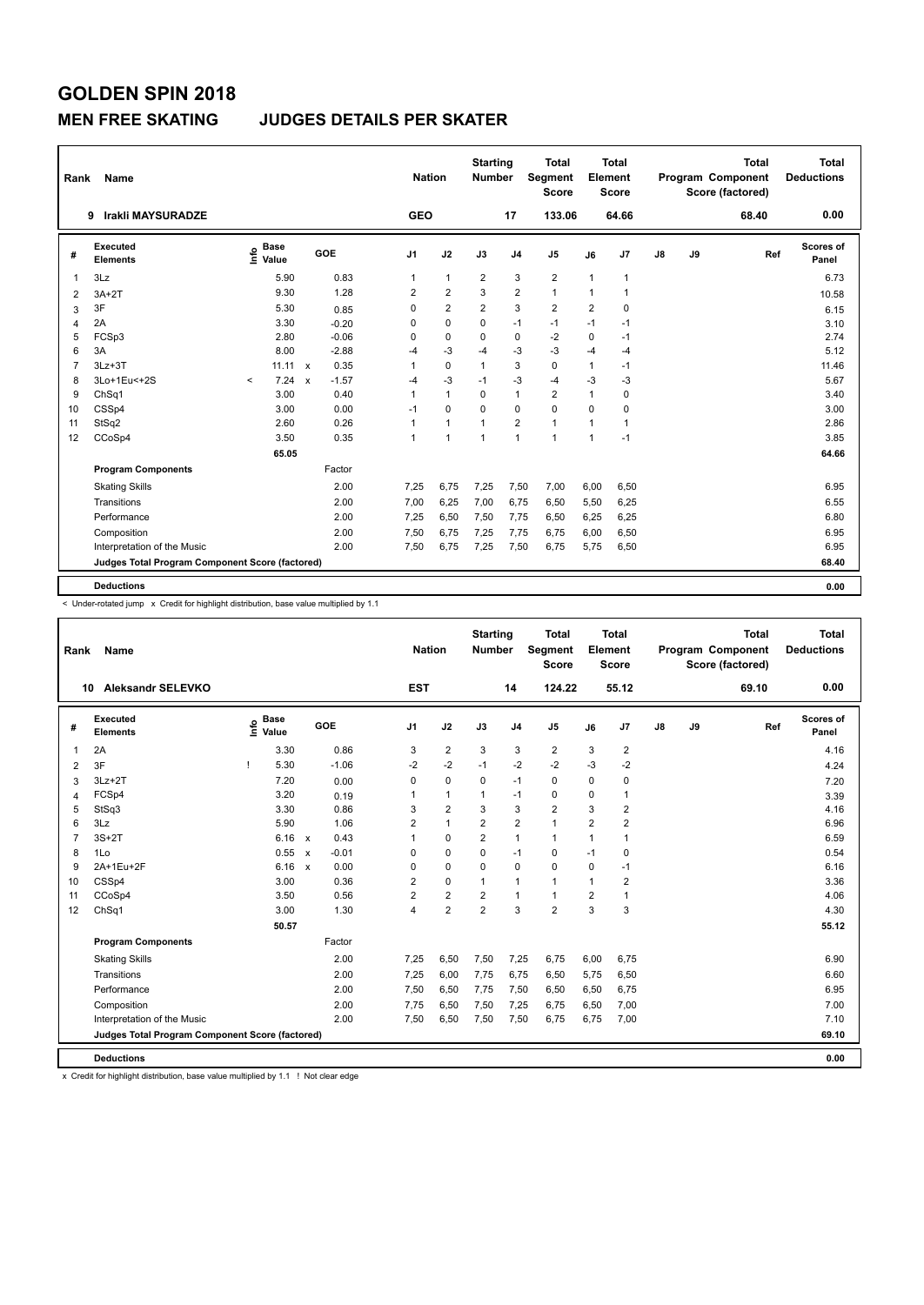#### **MEN FREE SKATING JUDGES DETAILS PER SKATER**

| Rank           | Name                                            |                            |                                      | <b>Nation</b>  |                | <b>Starting</b><br><b>Number</b> |                | <b>Total</b><br>Segment<br><b>Score</b> |                | Total<br>Element<br><b>Score</b> |               |    | <b>Total</b><br><b>Program Component</b><br>Score (factored) | Total<br><b>Deductions</b> |
|----------------|-------------------------------------------------|----------------------------|--------------------------------------|----------------|----------------|----------------------------------|----------------|-----------------------------------------|----------------|----------------------------------|---------------|----|--------------------------------------------------------------|----------------------------|
|                | Irakli MAYSURADZE<br>9                          |                            |                                      | <b>GEO</b>     |                |                                  | 17             | 133.06                                  |                | 64.66                            |               |    | 68.40                                                        | 0.00                       |
| #              | Executed<br><b>Elements</b>                     | <b>Base</b><br>۴٥<br>Value | <b>GOE</b>                           | J <sub>1</sub> | J2             | J3                               | J <sub>4</sub> | J <sub>5</sub>                          | J6             | J7                               | $\mathsf{J}8$ | J9 | Ref                                                          | Scores of<br>Panel         |
| 1              | 3Lz                                             | 5.90                       | 0.83                                 | 1              | $\mathbf{1}$   | $\overline{2}$                   | 3              | $\overline{2}$                          | $\mathbf{1}$   | 1                                |               |    |                                                              | 6.73                       |
| $\overline{2}$ | $3A+2T$                                         | 9.30                       | 1.28                                 | $\overline{2}$ | $\overline{2}$ | 3                                | $\overline{2}$ | $\mathbf{1}$                            | 1              | 1                                |               |    |                                                              | 10.58                      |
| 3              | 3F                                              | 5.30                       | 0.85                                 | 0              | $\overline{2}$ | $\overline{2}$                   | 3              | $\overline{2}$                          | $\overline{2}$ | $\mathbf 0$                      |               |    |                                                              | 6.15                       |
| 4              | 2A                                              | 3.30                       | $-0.20$                              | 0              | $\mathbf 0$    | $\mathbf 0$                      | $-1$           | $-1$                                    | $-1$           | $-1$                             |               |    |                                                              | 3.10                       |
| 5              | FCSp3                                           | 2.80                       | $-0.06$                              | 0              | $\mathbf 0$    | $\Omega$                         | $\mathbf 0$    | $-2$                                    | $\mathbf 0$    | $-1$                             |               |    |                                                              | 2.74                       |
| 6              | 3A                                              | 8.00                       | $-2.88$                              | $-4$           | $-3$           | $-4$                             | $-3$           | $-3$                                    | $-4$           | $-4$                             |               |    |                                                              | 5.12                       |
| 7              | $3Lz + 3T$                                      | 11.11                      | 0.35<br>$\mathbf{x}$                 | 1              | $\mathbf 0$    | $\mathbf{1}$                     | 3              | $\mathbf 0$                             | $\mathbf{1}$   | $-1$                             |               |    |                                                              | 11.46                      |
| 8              | 3Lo+1Eu<+2S                                     | 7.24<br>$\prec$            | $-1.57$<br>$\boldsymbol{\mathsf{x}}$ | $-4$           | $-3$           | $-1$                             | $-3$           | $-4$                                    | -3             | $-3$                             |               |    |                                                              | 5.67                       |
| 9              | ChSq1                                           | 3.00                       | 0.40                                 | 1              | $\mathbf{1}$   | $\mathbf 0$                      | $\overline{1}$ | $\overline{2}$                          | $\mathbf{1}$   | 0                                |               |    |                                                              | 3.40                       |
| 10             | CSSp4                                           | 3.00                       | 0.00                                 | $-1$           | $\mathbf 0$    | $\Omega$                         | $\Omega$       | $\mathbf 0$                             | $\Omega$       | 0                                |               |    |                                                              | 3.00                       |
| 11             | StSq2                                           | 2.60                       | 0.26                                 | 1              | $\mathbf{1}$   | 1                                | $\overline{2}$ | $\mathbf{1}$                            | $\overline{1}$ | 1                                |               |    |                                                              | 2.86                       |
| 12             | CCoSp4                                          | 3.50                       | 0.35                                 | 1              | $\mathbf{1}$   | $\mathbf{1}$                     | $\overline{1}$ | $\mathbf{1}$                            | $\mathbf{1}$   | $-1$                             |               |    |                                                              | 3.85                       |
|                |                                                 | 65.05                      |                                      |                |                |                                  |                |                                         |                |                                  |               |    |                                                              | 64.66                      |
|                | <b>Program Components</b>                       |                            | Factor                               |                |                |                                  |                |                                         |                |                                  |               |    |                                                              |                            |
|                | <b>Skating Skills</b>                           |                            | 2.00                                 | 7,25           | 6,75           | 7,25                             | 7,50           | 7,00                                    | 6,00           | 6,50                             |               |    |                                                              | 6.95                       |
|                | Transitions                                     |                            | 2.00                                 | 7,00           | 6,25           | 7,00                             | 6,75           | 6,50                                    | 5,50           | 6,25                             |               |    |                                                              | 6.55                       |
|                | Performance                                     |                            | 2.00                                 | 7,25           | 6,50           | 7,50                             | 7,75           | 6,50                                    | 6,25           | 6,25                             |               |    |                                                              | 6.80                       |
|                | Composition                                     |                            | 2.00                                 | 7,50           | 6,75           | 7,25                             | 7,75           | 6,75                                    | 6,00           | 6,50                             |               |    |                                                              | 6.95                       |
|                | Interpretation of the Music                     |                            | 2.00                                 | 7,50           | 6,75           | 7,25                             | 7,50           | 6,75                                    | 5,75           | 6,50                             |               |    |                                                              | 6.95                       |
|                | Judges Total Program Component Score (factored) |                            |                                      |                |                |                                  |                |                                         |                |                                  |               |    |                                                              | 68.40                      |
|                |                                                 |                            |                                      |                |                |                                  |                |                                         |                |                                  |               |    |                                                              |                            |
|                | <b>Deductions</b>                               |                            |                                      |                |                |                                  |                |                                         |                |                                  |               |    |                                                              | 0.00                       |

< Under-rotated jump x Credit for highlight distribution, base value multiplied by 1.1

| Rank           | Name                                            |      |                      |                           |         |                | <b>Nation</b>  |                | <b>Starting</b><br><b>Number</b> |                | <b>Total</b><br>Segment<br><b>Score</b> |                | <b>Total</b><br>Element<br><b>Score</b> |    |    | <b>Total</b><br>Program Component<br>Score (factored) | <b>Total</b><br><b>Deductions</b> |  |
|----------------|-------------------------------------------------|------|----------------------|---------------------------|---------|----------------|----------------|----------------|----------------------------------|----------------|-----------------------------------------|----------------|-----------------------------------------|----|----|-------------------------------------------------------|-----------------------------------|--|
| 10             | <b>Aleksandr SELEVKO</b>                        |      |                      |                           |         |                | <b>EST</b>     |                |                                  | 14             | 124.22                                  |                | 55.12                                   |    |    | 69.10                                                 | 0.00                              |  |
| #              | Executed<br><b>Elements</b>                     | lnfo | <b>Base</b><br>Value |                           | GOE     | J <sub>1</sub> |                | J2             | J3                               | J <sub>4</sub> | J <sub>5</sub>                          | J6             | J7                                      | J8 | J9 | Ref                                                   | <b>Scores of</b><br>Panel         |  |
| 1              | 2A                                              |      | 3.30                 |                           | 0.86    |                | 3              | $\overline{2}$ | 3                                | 3              | $\overline{2}$                          | 3              | $\overline{c}$                          |    |    |                                                       | 4.16                              |  |
| $\overline{2}$ | 3F                                              |      | 5.30                 |                           | $-1.06$ |                | $-2$           | $-2$           | $-1$                             | $-2$           | $-2$                                    | $-3$           | $-2$                                    |    |    |                                                       | 4.24                              |  |
| 3              | $3Lz + 2T$                                      |      | 7.20                 |                           | 0.00    |                | 0              | $\mathbf 0$    | 0                                | $-1$           | $\mathbf 0$                             | $\mathbf 0$    | 0                                       |    |    |                                                       | 7.20                              |  |
| $\overline{4}$ | FCSp4                                           |      | 3.20                 |                           | 0.19    |                | 1              | $\mathbf{1}$   | 1                                | $-1$           | $\mathbf 0$                             | $\mathbf 0$    | 1                                       |    |    |                                                       | 3.39                              |  |
| 5              | StSq3                                           |      | 3.30                 |                           | 0.86    |                | 3              | $\overline{2}$ | 3                                | 3              | $\overline{2}$                          | 3              | $\overline{2}$                          |    |    |                                                       | 4.16                              |  |
| 6              | 3Lz                                             |      | 5.90                 |                           | 1.06    |                | $\overline{2}$ | $\mathbf{1}$   | $\overline{2}$                   | $\overline{2}$ | $\mathbf{1}$                            | $\overline{2}$ | $\overline{2}$                          |    |    |                                                       | 6.96                              |  |
| $\overline{7}$ | $3S+2T$                                         |      | 6.16 x               |                           | 0.43    |                | 1              | 0              | $\overline{2}$                   | $\overline{1}$ | $\mathbf{1}$                            | 1              | 1                                       |    |    |                                                       | 6.59                              |  |
| 8              | 1Lo                                             |      | 0.55                 | $\boldsymbol{\mathsf{x}}$ | $-0.01$ |                | 0              | $\mathbf 0$    | 0                                | $-1$           | $\pmb{0}$                               | $-1$           | 0                                       |    |    |                                                       | 0.54                              |  |
| 9              | 2A+1Eu+2F                                       |      | 6.16                 | $\mathsf{x}$              | 0.00    |                | 0              | $\mathbf 0$    | 0                                | $\mathbf 0$    | $\mathbf 0$                             | $\Omega$       | $-1$                                    |    |    |                                                       | 6.16                              |  |
| 10             | CSSp4                                           |      | 3.00                 |                           | 0.36    |                | 2              | $\mathbf 0$    | $\overline{1}$                   | $\overline{1}$ | $\mathbf{1}$                            | $\mathbf{1}$   | $\overline{2}$                          |    |    |                                                       | 3.36                              |  |
| 11             | CCoSp4                                          |      | 3.50                 |                           | 0.56    |                | 2              | $\overline{2}$ | $\overline{2}$                   | $\overline{1}$ | $\mathbf{1}$                            | $\overline{2}$ | 1                                       |    |    |                                                       | 4.06                              |  |
| 12             | ChSq1                                           |      | 3.00                 |                           | 1.30    |                | 4              | $\overline{2}$ | $\overline{2}$                   | 3              | $\overline{2}$                          | 3              | 3                                       |    |    |                                                       | 4.30                              |  |
|                |                                                 |      | 50.57                |                           |         |                |                |                |                                  |                |                                         |                |                                         |    |    |                                                       | 55.12                             |  |
|                | <b>Program Components</b>                       |      |                      |                           | Factor  |                |                |                |                                  |                |                                         |                |                                         |    |    |                                                       |                                   |  |
|                | <b>Skating Skills</b>                           |      |                      |                           | 2.00    |                | 7,25           | 6,50           | 7,50                             | 7,25           | 6,75                                    | 6,00           | 6,75                                    |    |    |                                                       | 6.90                              |  |
|                | Transitions                                     |      |                      |                           | 2.00    |                | 7,25           | 6,00           | 7,75                             | 6,75           | 6,50                                    | 5,75           | 6,50                                    |    |    |                                                       | 6.60                              |  |
|                | Performance                                     |      |                      |                           | 2.00    |                | 7,50           | 6,50           | 7,75                             | 7,50           | 6,50                                    | 6,50           | 6,75                                    |    |    |                                                       | 6.95                              |  |
|                | Composition                                     |      |                      |                           | 2.00    |                | 7,75           | 6,50           | 7,50                             | 7,25           | 6,75                                    | 6,50           | 7,00                                    |    |    |                                                       | 7.00                              |  |
|                | Interpretation of the Music                     |      |                      |                           | 2.00    |                | 7,50           | 6,50           | 7,50                             | 7,50           | 6,75                                    | 6,75           | 7,00                                    |    |    |                                                       | 7.10                              |  |
|                | Judges Total Program Component Score (factored) |      |                      |                           |         |                |                |                |                                  |                |                                         |                |                                         |    |    |                                                       | 69.10                             |  |
|                | <b>Deductions</b>                               |      |                      |                           |         |                |                |                |                                  |                |                                         |                |                                         |    |    |                                                       | 0.00                              |  |

x Credit for highlight distribution, base value multiplied by 1.1 ! Not clear edge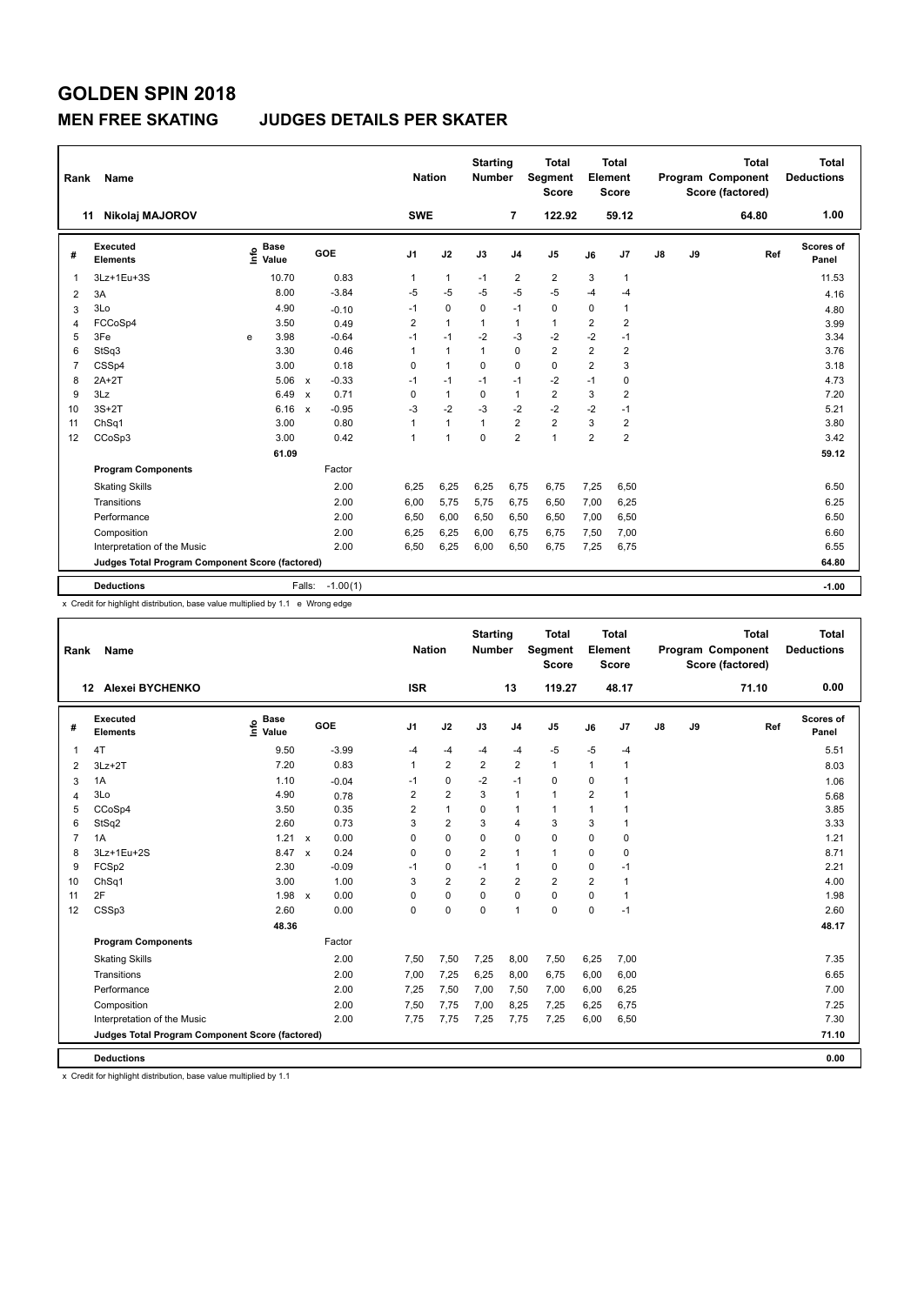### **MEN FREE SKATING JUDGES DETAILS PER SKATER**

| Rank           | Name                                            |      |                      |                           |            | <b>Nation</b>  |              | <b>Starting</b><br><b>Number</b> |                         | <b>Total</b><br>Segment<br><b>Score</b> |                | <b>Total</b><br>Element<br>Score |               |    | <b>Total</b><br>Program Component<br>Score (factored) | <b>Total</b><br><b>Deductions</b> |
|----------------|-------------------------------------------------|------|----------------------|---------------------------|------------|----------------|--------------|----------------------------------|-------------------------|-----------------------------------------|----------------|----------------------------------|---------------|----|-------------------------------------------------------|-----------------------------------|
|                | Nikolaj MAJOROV<br>11                           |      |                      |                           |            | <b>SWE</b>     |              |                                  | $\overline{7}$          | 122.92                                  |                | 59.12                            |               |    | 64.80                                                 | 1.00                              |
| #              | Executed<br><b>Elements</b>                     | ١nfo | <b>Base</b><br>Value |                           | <b>GOE</b> | J <sub>1</sub> | J2           | J3                               | J <sub>4</sub>          | J <sub>5</sub>                          | J6             | J7                               | $\mathsf{J}8$ | J9 | Ref                                                   | Scores of<br>Panel                |
|                | 3Lz+1Eu+3S                                      |      | 10.70                |                           | 0.83       | 1              | 1            | $-1$                             | $\overline{\mathbf{c}}$ | $\overline{2}$                          | 3              | $\mathbf{1}$                     |               |    |                                                       | 11.53                             |
| $\overline{2}$ | 3A                                              |      | 8.00                 |                           | $-3.84$    | $-5$           | $-5$         | $-5$                             | $-5$                    | $-5$                                    | $-4$           | $-4$                             |               |    |                                                       | 4.16                              |
| 3              | 3Lo                                             |      | 4.90                 |                           | $-0.10$    | $-1$           | $\mathbf 0$  | 0                                | $-1$                    | $\mathbf 0$                             | 0              | $\overline{1}$                   |               |    |                                                       | 4.80                              |
| 4              | FCCoSp4                                         |      | 3.50                 |                           | 0.49       | $\overline{2}$ | $\mathbf{1}$ | 1                                | $\mathbf{1}$            | $\mathbf{1}$                            | $\overline{2}$ | $\overline{2}$                   |               |    |                                                       | 3.99                              |
| 5              | 3Fe                                             | e    | 3.98                 |                           | $-0.64$    | $-1$           | $-1$         | $-2$                             | $-3$                    | $-2$                                    | $-2$           | $-1$                             |               |    |                                                       | 3.34                              |
| 6              | StSq3                                           |      | 3.30                 |                           | 0.46       | 1              | $\mathbf{1}$ | 1                                | $\mathbf 0$             | $\overline{2}$                          | $\overline{2}$ | $\overline{\mathbf{c}}$          |               |    |                                                       | 3.76                              |
| 7              | CSSp4                                           |      | 3.00                 |                           | 0.18       | 0              | $\mathbf{1}$ | $\mathbf 0$                      | $\mathbf 0$             | $\pmb{0}$                               | $\overline{2}$ | 3                                |               |    |                                                       | 3.18                              |
| 8              | $2A+2T$                                         |      | 5.06                 | $\boldsymbol{\mathsf{x}}$ | $-0.33$    | $-1$           | $-1$         | $-1$                             | $-1$                    | $-2$                                    | $-1$           | 0                                |               |    |                                                       | 4.73                              |
| 9              | 3Lz                                             |      | 6.49                 | $\boldsymbol{\mathsf{x}}$ | 0.71       | 0              | $\mathbf{1}$ | 0                                | $\mathbf{1}$            | $\overline{2}$                          | 3              | $\overline{2}$                   |               |    |                                                       | 7.20                              |
| 10             | $3S+2T$                                         |      | 6.16                 | $\boldsymbol{\mathsf{x}}$ | $-0.95$    | $-3$           | $-2$         | $-3$                             | $-2$                    | $-2$                                    | $-2$           | $-1$                             |               |    |                                                       | 5.21                              |
| 11             | ChSq1                                           |      | 3.00                 |                           | 0.80       | 1              | $\mathbf{1}$ | $\mathbf{1}$                     | $\overline{2}$          | $\overline{2}$                          | 3              | 2                                |               |    |                                                       | 3.80                              |
| 12             | CCoSp3                                          |      | 3.00                 |                           | 0.42       | 1              | 1            | $\mathbf 0$                      | $\overline{2}$          | $\mathbf{1}$                            | $\overline{2}$ | $\overline{2}$                   |               |    |                                                       | 3.42                              |
|                |                                                 |      | 61.09                |                           |            |                |              |                                  |                         |                                         |                |                                  |               |    |                                                       | 59.12                             |
|                | <b>Program Components</b>                       |      |                      |                           | Factor     |                |              |                                  |                         |                                         |                |                                  |               |    |                                                       |                                   |
|                | <b>Skating Skills</b>                           |      |                      |                           | 2.00       | 6,25           | 6,25         | 6,25                             | 6,75                    | 6,75                                    | 7,25           | 6,50                             |               |    |                                                       | 6.50                              |
|                | Transitions                                     |      |                      |                           | 2.00       | 6,00           | 5,75         | 5,75                             | 6,75                    | 6,50                                    | 7,00           | 6,25                             |               |    |                                                       | 6.25                              |
|                | Performance                                     |      |                      |                           | 2.00       | 6,50           | 6,00         | 6,50                             | 6,50                    | 6,50                                    | 7,00           | 6,50                             |               |    |                                                       | 6.50                              |
|                | Composition                                     |      |                      |                           | 2.00       | 6,25           | 6,25         | 6,00                             | 6,75                    | 6,75                                    | 7,50           | 7,00                             |               |    |                                                       | 6.60                              |
|                | Interpretation of the Music                     |      |                      |                           | 2.00       | 6,50           | 6,25         | 6,00                             | 6,50                    | 6,75                                    | 7,25           | 6,75                             |               |    |                                                       | 6.55                              |
|                | Judges Total Program Component Score (factored) |      |                      |                           |            |                |              |                                  |                         |                                         |                |                                  |               |    |                                                       | 64.80                             |
|                |                                                 |      |                      |                           |            |                |              |                                  |                         |                                         |                |                                  |               |    |                                                       |                                   |
|                | <b>Deductions</b>                               |      |                      | Falls:                    | $-1.00(1)$ |                |              |                                  |                         |                                         |                |                                  |               |    |                                                       | $-1.00$                           |

x Credit for highlight distribution, base value multiplied by 1.1 e Wrong edge

| Rank           | Name                                            |                              |              |         |                | <b>Nation</b>  | <b>Starting</b><br><b>Number</b> |                | <b>Total</b><br>Segment<br><b>Score</b> |                | <b>Total</b><br>Element<br><b>Score</b> |    |    | <b>Total</b><br>Program Component<br>Score (factored) | <b>Total</b><br><b>Deductions</b> |
|----------------|-------------------------------------------------|------------------------------|--------------|---------|----------------|----------------|----------------------------------|----------------|-----------------------------------------|----------------|-----------------------------------------|----|----|-------------------------------------------------------|-----------------------------------|
|                | <b>Alexei BYCHENKO</b><br>12                    |                              |              |         | <b>ISR</b>     |                |                                  | 13             | 119.27                                  |                | 48.17                                   |    |    | 71.10                                                 | 0.00                              |
| #              | Executed<br><b>Elements</b>                     | <b>Base</b><br>lnfo<br>Value |              | GOE     | J <sub>1</sub> | J2             | J3                               | J <sub>4</sub> | J <sub>5</sub>                          | J6             | J7                                      | J8 | J9 | Ref                                                   | <b>Scores of</b><br>Panel         |
| 1              | 4T                                              | 9.50                         |              | $-3.99$ | $-4$           | $-4$           | $-4$                             | $-4$           | $-5$                                    | $-5$           | $-4$                                    |    |    |                                                       | 5.51                              |
| $\overline{2}$ | $3Lz + 2T$                                      | 7.20                         |              | 0.83    | $\mathbf{1}$   | $\overline{2}$ | $\overline{2}$                   | $\overline{2}$ | $\mathbf{1}$                            | $\mathbf{1}$   | 1                                       |    |    |                                                       | 8.03                              |
| 3              | 1A                                              | 1.10                         |              | $-0.04$ | $-1$           | $\mathbf 0$    | $-2$                             | $-1$           | $\mathbf 0$                             | $\mathbf 0$    |                                         |    |    |                                                       | 1.06                              |
| 4              | 3Lo                                             | 4.90                         |              | 0.78    | 2              | $\overline{2}$ | 3                                | $\mathbf{1}$   | $\mathbf{1}$                            | $\overline{2}$ |                                         |    |    |                                                       | 5.68                              |
| 5              | CCoSp4                                          | 3.50                         |              | 0.35    | 2              | $\mathbf{1}$   | 0                                | $\mathbf{1}$   | $\mathbf{1}$                            | 1              |                                         |    |    |                                                       | 3.85                              |
| 6              | StSq2                                           | 2.60                         |              | 0.73    | 3              | $\overline{2}$ | 3                                | $\overline{4}$ | 3                                       | 3              |                                         |    |    |                                                       | 3.33                              |
| $\overline{7}$ | 1A                                              | $1.21 \times$                |              | 0.00    | 0              | 0              | 0                                | $\mathbf 0$    | $\mathbf 0$                             | $\mathbf 0$    | $\mathbf 0$                             |    |    |                                                       | 1.21                              |
| 8              | 3Lz+1Eu+2S                                      | 8.47                         | $\mathsf{x}$ | 0.24    | 0              | $\mathbf 0$    | $\overline{2}$                   | $\overline{1}$ | $\mathbf{1}$                            | $\mathbf 0$    | $\mathbf 0$                             |    |    |                                                       | 8.71                              |
| 9              | FCSp2                                           | 2.30                         |              | $-0.09$ | -1             | 0              | $-1$                             | $\mathbf{1}$   | $\mathbf 0$                             | $\mathbf 0$    | $-1$                                    |    |    |                                                       | 2.21                              |
| 10             | ChSq1                                           | 3.00                         |              | 1.00    | 3              | $\overline{2}$ | $\overline{2}$                   | $\overline{2}$ | $\overline{2}$                          | $\overline{2}$ | $\overline{1}$                          |    |    |                                                       | 4.00                              |
| 11             | 2F                                              | 1.98                         | $\mathsf{x}$ | 0.00    | 0              | $\mathbf 0$    | $\mathbf 0$                      | $\mathbf 0$    | $\mathbf 0$                             | $\mathbf 0$    | 1                                       |    |    |                                                       | 1.98                              |
| 12             | CSSp3                                           | 2.60                         |              | 0.00    | 0              | $\mathbf 0$    | $\Omega$                         | $\overline{1}$ | $\mathbf 0$                             | $\mathbf 0$    | $-1$                                    |    |    |                                                       | 2.60                              |
|                |                                                 | 48.36                        |              |         |                |                |                                  |                |                                         |                |                                         |    |    |                                                       | 48.17                             |
|                | <b>Program Components</b>                       |                              |              | Factor  |                |                |                                  |                |                                         |                |                                         |    |    |                                                       |                                   |
|                | <b>Skating Skills</b>                           |                              |              | 2.00    | 7,50           | 7,50           | 7,25                             | 8,00           | 7,50                                    | 6,25           | 7,00                                    |    |    |                                                       | 7.35                              |
|                | Transitions                                     |                              |              | 2.00    | 7,00           | 7,25           | 6,25                             | 8,00           | 6,75                                    | 6,00           | 6,00                                    |    |    |                                                       | 6.65                              |
|                | Performance                                     |                              |              | 2.00    | 7,25           | 7,50           | 7,00                             | 7,50           | 7,00                                    | 6,00           | 6,25                                    |    |    |                                                       | 7.00                              |
|                | Composition                                     |                              |              | 2.00    | 7,50           | 7,75           | 7,00                             | 8,25           | 7,25                                    | 6,25           | 6,75                                    |    |    |                                                       | 7.25                              |
|                | Interpretation of the Music                     |                              |              | 2.00    | 7,75           | 7,75           | 7,25                             | 7,75           | 7,25                                    | 6,00           | 6,50                                    |    |    |                                                       | 7.30                              |
|                | Judges Total Program Component Score (factored) |                              |              |         |                |                |                                  |                |                                         |                |                                         |    |    |                                                       | 71.10                             |
|                | <b>Deductions</b>                               |                              |              |         |                |                |                                  |                |                                         |                |                                         |    |    |                                                       | 0.00                              |

x Credit for highlight distribution, base value multiplied by 1.1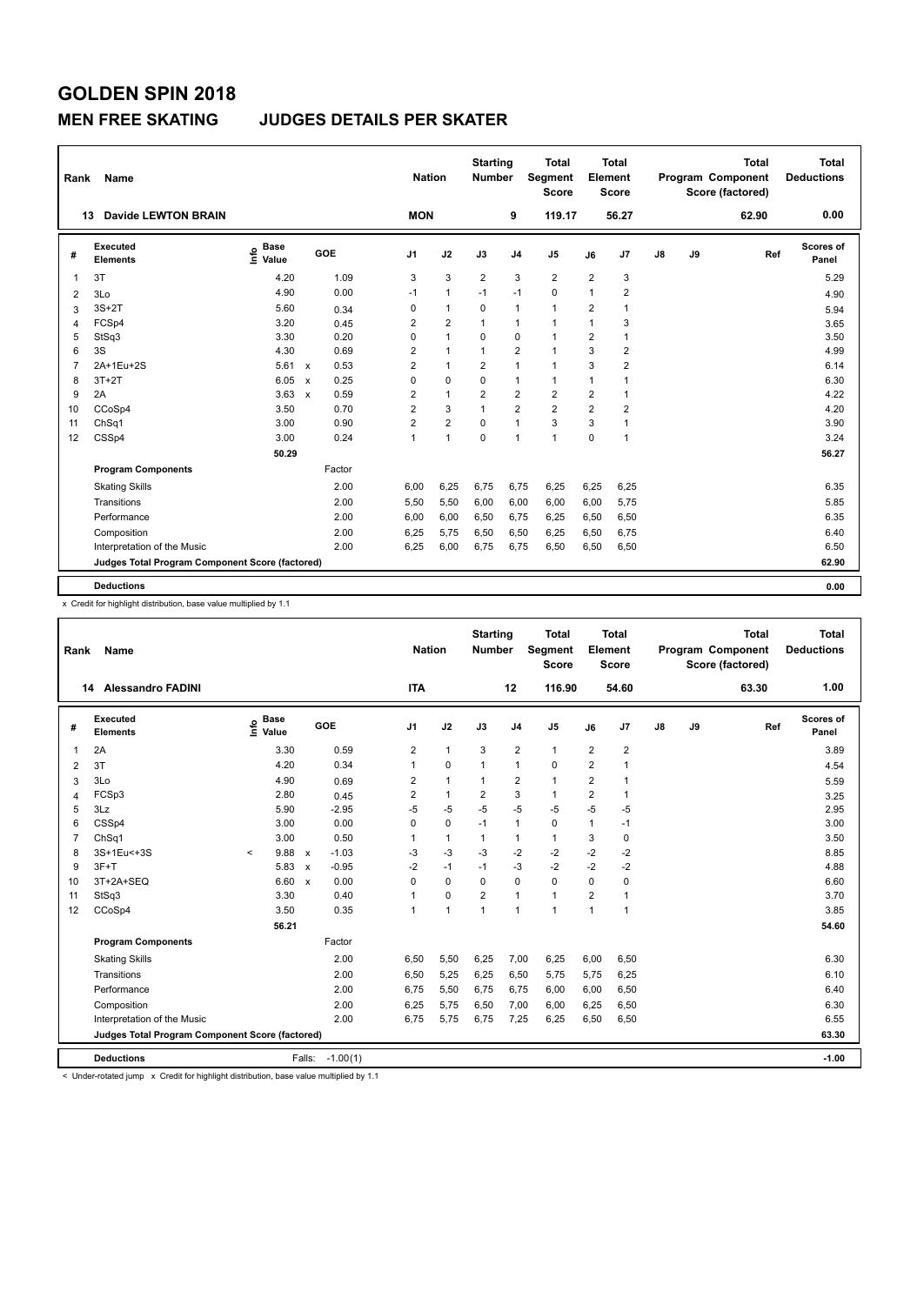#### **MEN FREE SKATING JUDGES DETAILS PER SKATER**

| Rank           | Name                                            |                              |                                   | <b>Nation</b>  |                | <b>Starting</b><br><b>Number</b> |                | <b>Total</b><br><b>Segment</b><br><b>Score</b> |                | <b>Total</b><br>Element<br><b>Score</b> |               |    | <b>Total</b><br>Program Component<br>Score (factored) | Total<br><b>Deductions</b> |
|----------------|-------------------------------------------------|------------------------------|-----------------------------------|----------------|----------------|----------------------------------|----------------|------------------------------------------------|----------------|-----------------------------------------|---------------|----|-------------------------------------------------------|----------------------------|
| 13             | <b>Davide LEWTON BRAIN</b>                      |                              |                                   | <b>MON</b>     |                |                                  | 9              | 119.17                                         |                | 56.27                                   |               |    | 62.90                                                 | 0.00                       |
| #              | Executed<br><b>Elements</b>                     | <b>Base</b><br>١nfo<br>Value | GOE                               | J <sub>1</sub> | J2             | J3                               | J <sub>4</sub> | J <sub>5</sub>                                 | J6             | J7                                      | $\mathsf{J}8$ | J9 | Ref                                                   | Scores of<br>Panel         |
| 1              | 3T                                              | 4.20                         | 1.09                              | 3              | 3              | $\overline{2}$                   | 3              | $\overline{2}$                                 | $\overline{2}$ | 3                                       |               |    |                                                       | 5.29                       |
| 2              | 3Lo                                             | 4.90                         | 0.00                              | $-1$           | $\overline{1}$ | $-1$                             | $-1$           | $\mathbf 0$                                    | $\mathbf 1$    | $\overline{2}$                          |               |    |                                                       | 4.90                       |
| 3              | $3S+2T$                                         | 5.60                         | 0.34                              | 0              | $\overline{1}$ | $\Omega$                         | $\mathbf{1}$   | $\mathbf{1}$                                   | $\overline{2}$ | 1                                       |               |    |                                                       | 5.94                       |
| 4              | FCSp4                                           | 3.20                         | 0.45                              | $\overline{2}$ | $\overline{2}$ | $\mathbf{1}$                     | $\mathbf{1}$   | $\mathbf{1}$                                   | $\mathbf 1$    | 3                                       |               |    |                                                       | 3.65                       |
| 5              | StSq3                                           | 3.30                         | 0.20                              | 0              | $\overline{1}$ | $\mathbf 0$                      | $\mathbf 0$    | $\mathbf{1}$                                   | $\overline{2}$ | 1                                       |               |    |                                                       | 3.50                       |
| 6              | 3S                                              | 4.30                         | 0.69                              | 2              | $\mathbf{1}$   | $\overline{1}$                   | $\overline{2}$ | $\mathbf{1}$                                   | 3              | $\overline{\mathbf{c}}$                 |               |    |                                                       | 4.99                       |
| $\overline{7}$ | 2A+1Eu+2S                                       | 5.61                         | 0.53<br>$\boldsymbol{\mathsf{x}}$ | 2              | $\overline{1}$ | $\overline{2}$                   | $\mathbf{1}$   | $\mathbf{1}$                                   | 3              | $\overline{2}$                          |               |    |                                                       | 6.14                       |
| 8              | $3T+2T$                                         | 6.05                         | 0.25<br>$\boldsymbol{\mathsf{x}}$ | 0              | $\mathbf 0$    | $\Omega$                         | $\mathbf{1}$   | $\mathbf{1}$                                   | $\mathbf 1$    | 1                                       |               |    |                                                       | 6.30                       |
| 9              | 2A                                              | 3.63                         | 0.59<br>$\mathsf{x}$              | $\overline{2}$ | $\mathbf{1}$   | 2                                | $\overline{2}$ | $\overline{2}$                                 | $\overline{2}$ | 1                                       |               |    |                                                       | 4.22                       |
| 10             | CCoSp4                                          | 3.50                         | 0.70                              | $\overline{2}$ | 3              | $\overline{1}$                   | $\overline{2}$ | $\overline{2}$                                 | $\overline{2}$ | $\overline{2}$                          |               |    |                                                       | 4.20                       |
| 11             | ChSq1                                           | 3.00                         | 0.90                              | $\overline{2}$ | $\overline{2}$ | $\Omega$                         | $\mathbf{1}$   | 3                                              | 3              | $\mathbf{1}$                            |               |    |                                                       | 3.90                       |
| 12             | CSSp4                                           | 3.00                         | 0.24                              | $\overline{1}$ | $\overline{1}$ | $\Omega$                         | $\mathbf{1}$   | $\mathbf{1}$                                   | $\Omega$       | 1                                       |               |    |                                                       | 3.24                       |
|                |                                                 | 50.29                        |                                   |                |                |                                  |                |                                                |                |                                         |               |    |                                                       | 56.27                      |
|                | <b>Program Components</b>                       |                              | Factor                            |                |                |                                  |                |                                                |                |                                         |               |    |                                                       |                            |
|                | <b>Skating Skills</b>                           |                              | 2.00                              | 6,00           | 6,25           | 6,75                             | 6,75           | 6,25                                           | 6,25           | 6,25                                    |               |    |                                                       | 6.35                       |
|                | Transitions                                     |                              | 2.00                              | 5,50           | 5,50           | 6,00                             | 6,00           | 6,00                                           | 6,00           | 5,75                                    |               |    |                                                       | 5.85                       |
|                | Performance                                     |                              | 2.00                              | 6,00           | 6,00           | 6,50                             | 6,75           | 6,25                                           | 6,50           | 6,50                                    |               |    |                                                       | 6.35                       |
|                | Composition                                     |                              | 2.00                              | 6,25           | 5,75           | 6,50                             | 6,50           | 6,25                                           | 6,50           | 6,75                                    |               |    |                                                       | 6.40                       |
|                | Interpretation of the Music                     |                              | 2.00                              | 6,25           | 6,00           | 6,75                             | 6,75           | 6,50                                           | 6,50           | 6,50                                    |               |    |                                                       | 6.50                       |
|                | Judges Total Program Component Score (factored) |                              |                                   |                |                |                                  |                |                                                |                |                                         |               |    |                                                       | 62.90                      |
|                | <b>Deductions</b>                               |                              |                                   |                |                |                                  |                |                                                |                |                                         |               |    |                                                       | 0.00                       |

x Credit for highlight distribution, base value multiplied by 1.1

| Rank              | Name                                            |                                  |                                      | <b>Nation</b>  |                | <b>Starting</b><br><b>Number</b> |                | <b>Total</b><br>Segment<br><b>Score</b> |                         | <b>Total</b><br>Element<br><b>Score</b> |    |    | <b>Total</b><br>Program Component<br>Score (factored) | <b>Total</b><br><b>Deductions</b> |
|-------------------|-------------------------------------------------|----------------------------------|--------------------------------------|----------------|----------------|----------------------------------|----------------|-----------------------------------------|-------------------------|-----------------------------------------|----|----|-------------------------------------------------------|-----------------------------------|
| 14                | <b>Alessandro FADINI</b>                        |                                  |                                      | <b>ITA</b>     |                |                                  | 12             | 116.90                                  |                         | 54.60                                   |    |    | 63.30                                                 | 1.00                              |
| #                 | <b>Executed</b><br><b>Elements</b>              | <b>Base</b><br>e Base<br>⊆ Value | GOE                                  | J <sub>1</sub> | J2             | J3                               | J <sub>4</sub> | J <sub>5</sub>                          | J6                      | J7                                      | J8 | J9 | Ref                                                   | Scores of<br>Panel                |
| 1                 | 2A                                              | 3.30                             | 0.59                                 | 2              | $\mathbf{1}$   | 3                                | $\overline{2}$ | $\mathbf{1}$                            | 2                       | $\overline{2}$                          |    |    |                                                       | 3.89                              |
| 2                 | 3T                                              | 4.20                             | 0.34                                 | 1              | $\pmb{0}$      | $\mathbf{1}$                     | $\mathbf{1}$   | 0                                       | $\overline{\mathbf{c}}$ | 1                                       |    |    |                                                       | 4.54                              |
| 3                 | 3Lo                                             | 4.90                             | 0.69                                 | 2              | $\mathbf{1}$   | $\mathbf{1}$                     | $\overline{2}$ | $\mathbf{1}$                            | $\overline{2}$          | 1                                       |    |    |                                                       | 5.59                              |
| 4                 | FCSp3                                           | 2.80                             | 0.45                                 | 2              | $\mathbf{1}$   | 2                                | 3              | $\mathbf{1}$                            | $\overline{2}$          | 1                                       |    |    |                                                       | 3.25                              |
| 5                 | 3Lz                                             | 5.90                             | $-2.95$                              | $-5$           | $-5$           | -5                               | $-5$           | $-5$                                    | $-5$                    | $-5$                                    |    |    |                                                       | 2.95                              |
| 6                 | CSSp4                                           | 3.00                             | 0.00                                 | 0              | $\pmb{0}$      | $-1$                             | $\mathbf{1}$   | 0                                       | 1                       | $-1$                                    |    |    |                                                       | 3.00                              |
| 7                 | ChSq1                                           | 3.00                             | 0.50                                 | 1              | $\mathbf{1}$   | $\mathbf{1}$                     | $\mathbf{1}$   | $\mathbf{1}$                            | 3                       | $\mathbf 0$                             |    |    |                                                       | 3.50                              |
| 8                 | 3S+1Eu<+3S                                      | 9.88<br>$\prec$                  | $-1.03$<br>$\mathsf{x}$              | $-3$           | $-3$           | $-3$                             | $-2$           | $-2$                                    | -2                      | $-2$                                    |    |    |                                                       | 8.85                              |
| 9                 | $3F+T$                                          | 5.83                             | $-0.95$<br>$\boldsymbol{\mathsf{x}}$ | $-2$           | $-1$           | $-1$                             | $-3$           | $-2$                                    | $-2$                    | $-2$                                    |    |    |                                                       | 4.88                              |
| 10                | 3T+2A+SEQ                                       | 6.60                             | 0.00<br>$\mathsf{x}$                 | $\Omega$       | $\mathbf 0$    | $\Omega$                         | $\mathbf 0$    | 0                                       | $\Omega$                | $\mathbf 0$                             |    |    |                                                       | 6.60                              |
| 11                | StSq3                                           | 3.30                             | 0.40                                 | 1              | $\mathbf 0$    | $\overline{2}$                   | $\mathbf{1}$   | $\mathbf{1}$                            | $\overline{2}$          | 1                                       |    |    |                                                       | 3.70                              |
| $12 \overline{ }$ | CCoSp4                                          | 3.50                             | 0.35                                 | 1              | $\overline{1}$ | 1                                | $\overline{1}$ | $\overline{1}$                          | 1                       | $\overline{1}$                          |    |    |                                                       | 3.85                              |
|                   |                                                 | 56.21                            |                                      |                |                |                                  |                |                                         |                         |                                         |    |    |                                                       | 54.60                             |
|                   | <b>Program Components</b>                       |                                  | Factor                               |                |                |                                  |                |                                         |                         |                                         |    |    |                                                       |                                   |
|                   | <b>Skating Skills</b>                           |                                  | 2.00                                 | 6,50           | 5,50           | 6,25                             | 7,00           | 6,25                                    | 6,00                    | 6,50                                    |    |    |                                                       | 6.30                              |
|                   | Transitions                                     |                                  | 2.00                                 | 6,50           | 5,25           | 6,25                             | 6,50           | 5,75                                    | 5,75                    | 6,25                                    |    |    |                                                       | 6.10                              |
|                   | Performance                                     |                                  | 2.00                                 | 6,75           | 5,50           | 6,75                             | 6,75           | 6,00                                    | 6,00                    | 6,50                                    |    |    |                                                       | 6.40                              |
|                   | Composition                                     |                                  | 2.00                                 | 6,25           | 5,75           | 6,50                             | 7,00           | 6,00                                    | 6,25                    | 6,50                                    |    |    |                                                       | 6.30                              |
|                   | Interpretation of the Music                     |                                  | 2.00                                 | 6,75           | 5,75           | 6,75                             | 7,25           | 6,25                                    | 6,50                    | 6,50                                    |    |    |                                                       | 6.55                              |
|                   | Judges Total Program Component Score (factored) |                                  |                                      |                |                |                                  |                |                                         |                         |                                         |    |    |                                                       | 63.30                             |
|                   | <b>Deductions</b>                               |                                  | $-1.00(1)$<br>Falls:                 |                |                |                                  |                |                                         |                         |                                         |    |    |                                                       | $-1.00$                           |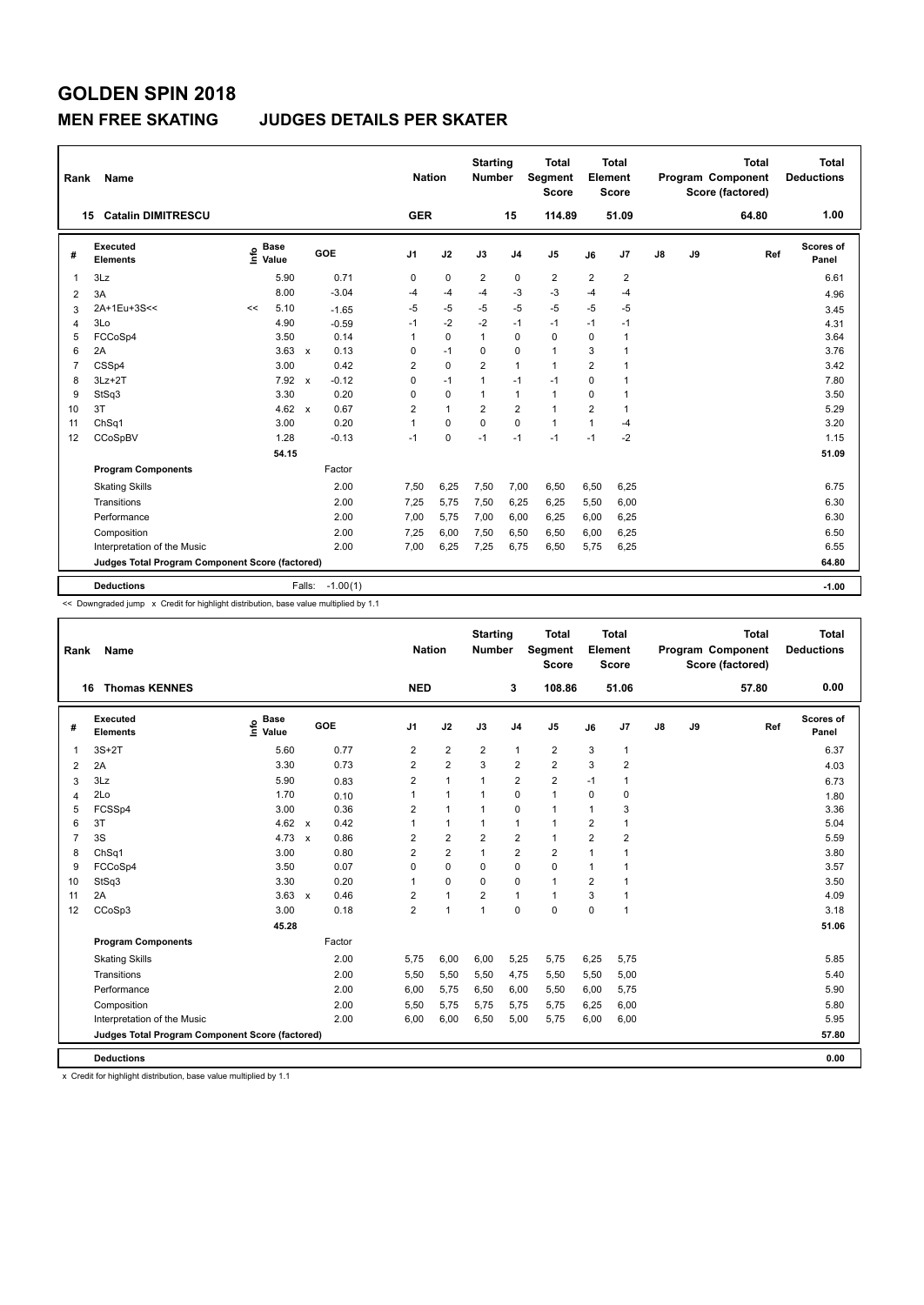### **MEN FREE SKATING JUDGES DETAILS PER SKATER**

| Rank           | Name                                            |                              |                 |         | <b>Nation</b>  |              | <b>Starting</b><br>Number |                         | <b>Total</b><br>Segment<br><b>Score</b> |                | <b>Total</b><br>Element<br><b>Score</b> |               |    | <b>Total</b><br><b>Program Component</b><br>Score (factored) | Total<br><b>Deductions</b> |
|----------------|-------------------------------------------------|------------------------------|-----------------|---------|----------------|--------------|---------------------------|-------------------------|-----------------------------------------|----------------|-----------------------------------------|---------------|----|--------------------------------------------------------------|----------------------------|
|                | <b>Catalin DIMITRESCU</b><br>15                 |                              |                 |         | <b>GER</b>     |              |                           | 15                      | 114.89                                  |                | 51.09                                   |               |    | 64.80                                                        | 1.00                       |
| #              | Executed<br><b>Elements</b>                     | <b>Base</b><br>lnfo<br>Value | GOE             |         | J <sub>1</sub> | J2           | J3                        | J <sub>4</sub>          | J <sub>5</sub>                          | J6             | J7                                      | $\mathsf{J}8$ | J9 | Ref                                                          | Scores of<br>Panel         |
| 1              | 3Lz                                             | 5.90                         |                 | 0.71    | 0              | $\mathbf 0$  | $\overline{2}$            | 0                       | $\overline{\mathbf{c}}$                 | $\overline{2}$ | $\overline{2}$                          |               |    |                                                              | 6.61                       |
| $\overline{2}$ | 3A                                              | 8.00                         |                 | $-3.04$ | -4             | $-4$         | $-4$                      | $-3$                    | $-3$                                    | $-4$           | $-4$                                    |               |    |                                                              | 4.96                       |
| 3              | 2A+1Eu+3S<<                                     | 5.10<br><<                   |                 | $-1.65$ | -5             | $-5$         | -5                        | $-5$                    | $-5$                                    | $-5$           | $-5$                                    |               |    |                                                              | 3.45                       |
| 4              | 3Lo                                             | 4.90                         |                 | $-0.59$ | $-1$           | $-2$         | $-2$                      | $-1$                    | $-1$                                    | $-1$           | $-1$                                    |               |    |                                                              | 4.31                       |
| 5              | FCCoSp4                                         | 3.50                         |                 | 0.14    | 1              | $\mathbf 0$  | 1                         | 0                       | $\mathbf 0$                             | 0              | 1                                       |               |    |                                                              | 3.64                       |
| 6              | 2A                                              | 3.63                         | $\mathsf{x}$    | 0.13    | 0              | $-1$         | $\Omega$                  | 0                       | $\mathbf{1}$                            | 3              | 1                                       |               |    |                                                              | 3.76                       |
| $\overline{7}$ | CSSp4                                           | 3.00                         |                 | 0.42    | $\overline{2}$ | $\mathbf 0$  | $\overline{2}$            | $\mathbf{1}$            | $\mathbf{1}$                            | $\overline{2}$ | $\mathbf{1}$                            |               |    |                                                              | 3.42                       |
| 8              | $3Lz + 2T$                                      | 7.92                         | $\mathbf{x}$    | $-0.12$ | $\Omega$       | $-1$         | $\mathbf{1}$              | $-1$                    | $-1$                                    | 0              | $\mathbf{1}$                            |               |    |                                                              | 7.80                       |
| 9              | StSq3                                           | 3.30                         |                 | 0.20    | 0              | $\Omega$     | $\mathbf{1}$              | $\mathbf{1}$            | $\mathbf{1}$                            | 0              | $\mathbf{1}$                            |               |    |                                                              | 3.50                       |
| 10             | 3T                                              | 4.62                         | $\mathsf{x}$    | 0.67    | 2              | $\mathbf{1}$ | 2                         | $\overline{\mathbf{c}}$ | $\mathbf{1}$                            | 2              | 1                                       |               |    |                                                              | 5.29                       |
| 11             | Ch <sub>Sq1</sub>                               | 3.00                         |                 | 0.20    | 1              | $\Omega$     | $\Omega$                  | $\mathbf 0$             | $\mathbf{1}$                            | 1              | $-4$                                    |               |    |                                                              | 3.20                       |
| 12             | CCoSpBV                                         | 1.28                         |                 | $-0.13$ | $-1$           | $\mathbf 0$  | $-1$                      | $-1$                    | $-1$                                    | $-1$           | $-2$                                    |               |    |                                                              | 1.15                       |
|                |                                                 | 54.15                        |                 |         |                |              |                           |                         |                                         |                |                                         |               |    |                                                              | 51.09                      |
|                | <b>Program Components</b>                       |                              |                 | Factor  |                |              |                           |                         |                                         |                |                                         |               |    |                                                              |                            |
|                | <b>Skating Skills</b>                           |                              |                 | 2.00    | 7.50           | 6,25         | 7,50                      | 7,00                    | 6,50                                    | 6,50           | 6,25                                    |               |    |                                                              | 6.75                       |
|                | Transitions                                     |                              |                 | 2.00    | 7,25           | 5,75         | 7,50                      | 6,25                    | 6,25                                    | 5,50           | 6,00                                    |               |    |                                                              | 6.30                       |
|                | Performance                                     |                              |                 | 2.00    | 7,00           | 5,75         | 7,00                      | 6,00                    | 6,25                                    | 6,00           | 6,25                                    |               |    |                                                              | 6.30                       |
|                | Composition                                     |                              |                 | 2.00    | 7,25           | 6,00         | 7,50                      | 6,50                    | 6,50                                    | 6,00           | 6,25                                    |               |    |                                                              | 6.50                       |
|                | Interpretation of the Music                     |                              |                 | 2.00    | 7.00           | 6,25         | 7,25                      | 6.75                    | 6,50                                    | 5.75           | 6.25                                    |               |    |                                                              | 6.55                       |
|                | Judges Total Program Component Score (factored) |                              |                 |         |                |              |                           |                         |                                         |                |                                         |               |    |                                                              | 64.80                      |
|                | <b>Deductions</b>                               |                              | Falls: -1.00(1) |         |                |              |                           |                         |                                         |                |                                         |               |    |                                                              | $-1.00$                    |

<< Downgraded jump x Credit for highlight distribution, base value multiplied by 1.1

| Rank           | Name                                            |                                  |              |        |                | <b>Nation</b>  | <b>Starting</b><br><b>Number</b> |                         | <b>Total</b><br>Segment<br><b>Score</b> |                | <b>Total</b><br>Element<br><b>Score</b> |               |    | <b>Total</b><br><b>Program Component</b><br>Score (factored) | <b>Total</b><br><b>Deductions</b> |
|----------------|-------------------------------------------------|----------------------------------|--------------|--------|----------------|----------------|----------------------------------|-------------------------|-----------------------------------------|----------------|-----------------------------------------|---------------|----|--------------------------------------------------------------|-----------------------------------|
|                | <b>Thomas KENNES</b><br>16                      |                                  |              |        | <b>NED</b>     |                |                                  | 3                       | 108.86                                  |                | 51.06                                   |               |    | 57.80                                                        | 0.00                              |
| #              | Executed<br><b>Elements</b>                     | <b>Base</b><br>e Base<br>⊆ Value |              | GOE    | J <sub>1</sub> | J2             | J3                               | J <sub>4</sub>          | J <sub>5</sub>                          | J6             | J7                                      | $\mathsf{J}8$ | J9 | Ref                                                          | <b>Scores of</b><br>Panel         |
| 1              | $3S+2T$                                         | 5.60                             |              | 0.77   | 2              | $\overline{2}$ | $\overline{2}$                   | $\mathbf{1}$            | $\overline{2}$                          | 3              | $\mathbf{1}$                            |               |    |                                                              | 6.37                              |
| 2              | 2A                                              | 3.30                             |              | 0.73   | 2              | $\overline{2}$ | 3                                | $\overline{\mathbf{c}}$ | $\overline{2}$                          | 3              | $\overline{\mathbf{c}}$                 |               |    |                                                              | 4.03                              |
| 3              | 3Lz                                             | 5.90                             |              | 0.83   | $\overline{2}$ | $\mathbf{1}$   | $\mathbf{1}$                     | $\overline{2}$          | $\overline{2}$                          | $-1$           | 1                                       |               |    |                                                              | 6.73                              |
| 4              | 2Lo                                             | 1.70                             |              | 0.10   | 1              | $\overline{1}$ | 1                                | $\mathbf 0$             | $\mathbf{1}$                            | $\mathbf 0$    | 0                                       |               |    |                                                              | 1.80                              |
| 5              | FCSSp4                                          | 3.00                             |              | 0.36   | $\overline{2}$ | $\overline{1}$ | $\mathbf 1$                      | $\Omega$                | $\overline{1}$                          | 1              | 3                                       |               |    |                                                              | 3.36                              |
| 6              | 3T                                              | 4.62                             | $\mathsf{x}$ | 0.42   | 1              | $\mathbf{1}$   | 1                                | $\mathbf{1}$            | $\mathbf{1}$                            | $\overline{2}$ | 1                                       |               |    |                                                              | 5.04                              |
| $\overline{7}$ | 3S                                              | 4.73                             | $\mathsf{x}$ | 0.86   | 2              | $\overline{2}$ | $\overline{2}$                   | $\overline{2}$          | $\mathbf{1}$                            | $\overline{2}$ | $\overline{\mathbf{c}}$                 |               |    |                                                              | 5.59                              |
| 8              | ChSq1                                           | 3.00                             |              | 0.80   | $\overline{2}$ | $\overline{2}$ | $\mathbf{1}$                     | $\overline{2}$          | $\overline{2}$                          | 1              | 1                                       |               |    |                                                              | 3.80                              |
| 9              | FCCoSp4                                         | 3.50                             |              | 0.07   | 0              | $\mathbf 0$    | $\mathbf 0$                      | $\mathbf 0$             | $\mathbf 0$                             | 1              | 1                                       |               |    |                                                              | 3.57                              |
| 10             | StSq3                                           | 3.30                             |              | 0.20   | 1              | $\mathbf 0$    | $\Omega$                         | $\mathbf 0$             | $\mathbf{1}$                            | $\overline{2}$ | 1                                       |               |    |                                                              | 3.50                              |
| 11             | 2A                                              | 3.63                             | $\mathsf{x}$ | 0.46   | $\overline{2}$ | $\mathbf{1}$   | $\overline{2}$                   | $\mathbf{1}$            | $\mathbf{1}$                            | 3              | 1                                       |               |    |                                                              | 4.09                              |
| 12             | CCoSp3                                          | 3.00                             |              | 0.18   | $\overline{2}$ | $\overline{1}$ | $\overline{1}$                   | $\Omega$                | $\mathbf 0$                             | $\mathbf 0$    | $\mathbf{1}$                            |               |    |                                                              | 3.18                              |
|                |                                                 | 45.28                            |              |        |                |                |                                  |                         |                                         |                |                                         |               |    |                                                              | 51.06                             |
|                | <b>Program Components</b>                       |                                  |              | Factor |                |                |                                  |                         |                                         |                |                                         |               |    |                                                              |                                   |
|                | <b>Skating Skills</b>                           |                                  |              | 2.00   | 5,75           | 6,00           | 6,00                             | 5,25                    | 5,75                                    | 6,25           | 5,75                                    |               |    |                                                              | 5.85                              |
|                | Transitions                                     |                                  |              | 2.00   | 5,50           | 5,50           | 5,50                             | 4,75                    | 5,50                                    | 5,50           | 5,00                                    |               |    |                                                              | 5.40                              |
|                | Performance                                     |                                  |              | 2.00   | 6,00           | 5,75           | 6,50                             | 6,00                    | 5,50                                    | 6,00           | 5,75                                    |               |    |                                                              | 5.90                              |
|                | Composition                                     |                                  |              | 2.00   | 5,50           | 5,75           | 5,75                             | 5,75                    | 5,75                                    | 6,25           | 6,00                                    |               |    |                                                              | 5.80                              |
|                | Interpretation of the Music                     |                                  |              | 2.00   | 6,00           | 6,00           | 6,50                             | 5,00                    | 5,75                                    | 6,00           | 6,00                                    |               |    |                                                              | 5.95                              |
|                | Judges Total Program Component Score (factored) |                                  |              |        |                |                |                                  |                         |                                         |                |                                         |               |    |                                                              | 57.80                             |
|                | <b>Deductions</b>                               |                                  |              |        |                |                |                                  |                         |                                         |                |                                         |               |    |                                                              | 0.00                              |

x Credit for highlight distribution, base value multiplied by 1.1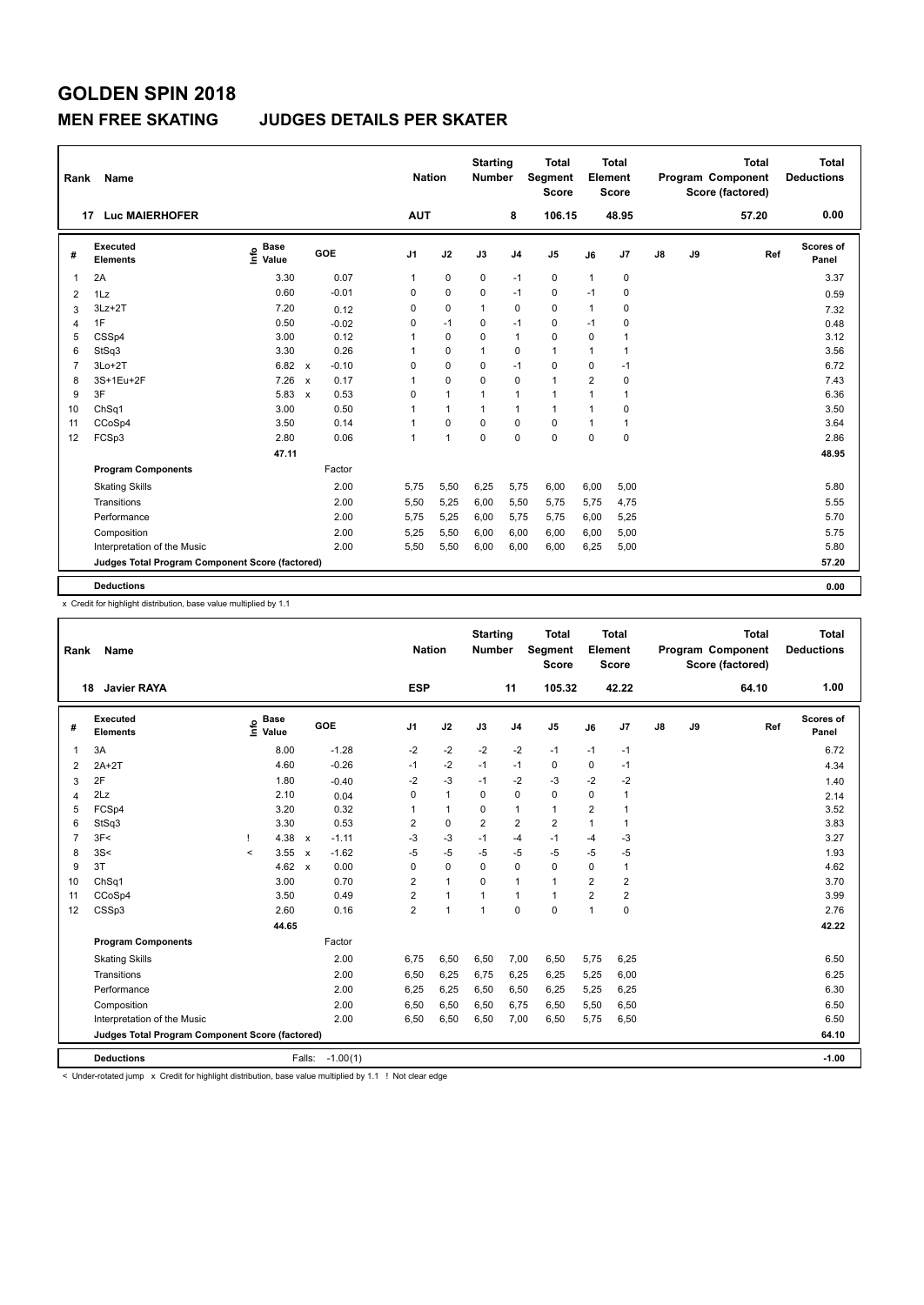#### **MEN FREE SKATING JUDGES DETAILS PER SKATER**

| Rank                                                                                                     | Name                                                                                                                                                                                  |                                    |                         | <b>Nation</b>  |              | <b>Starting</b><br><b>Number</b> |                | <b>Total</b><br>Segment<br><b>Score</b> |                | <b>Total</b><br>Element<br><b>Score</b> |               |    | <b>Total</b><br>Program Component<br>Score (factored) | Total<br><b>Deductions</b> |  |
|----------------------------------------------------------------------------------------------------------|---------------------------------------------------------------------------------------------------------------------------------------------------------------------------------------|------------------------------------|-------------------------|----------------|--------------|----------------------------------|----------------|-----------------------------------------|----------------|-----------------------------------------|---------------|----|-------------------------------------------------------|----------------------------|--|
|                                                                                                          | <b>Luc MAIERHOFER</b><br>17                                                                                                                                                           |                                    |                         | <b>AUT</b>     |              |                                  | 8              | 106.15                                  |                | 48.95                                   |               |    | 57.20                                                 | 0.00                       |  |
| #                                                                                                        | Executed<br><b>Elements</b>                                                                                                                                                           | <b>Base</b><br>$\frac{6}{5}$ Value | GOE                     | J <sub>1</sub> | J2           | J3                               | J <sub>4</sub> | J5                                      | J6             | J7                                      | $\mathsf{J}8$ | J9 | Ref                                                   | Scores of<br>Panel         |  |
| 1                                                                                                        | 2A                                                                                                                                                                                    | 3.30                               | 0.07                    | 1              | $\mathbf 0$  | 0                                | $-1$           | 0                                       | $\mathbf{1}$   | 0                                       |               |    |                                                       | 3.37                       |  |
| $\overline{2}$                                                                                           | 1Lz                                                                                                                                                                                   | 0.60                               | $-0.01$                 | 0              | $\mathbf 0$  | $\mathbf 0$                      | $-1$           | $\mathbf 0$                             | $-1$           | 0                                       |               |    |                                                       | 0.59                       |  |
| 3                                                                                                        | $3Lz + 2T$                                                                                                                                                                            | 7.20                               | 0.12                    | 0              | $\mathbf 0$  | 1                                | $\mathbf 0$    | $\mathbf 0$                             | 1              | $\Omega$                                |               |    |                                                       | 7.32                       |  |
| 4                                                                                                        | 1F<br>0.50<br>$\mathbf 0$<br>0<br>$-1$<br>0<br>$-1$<br>0<br>$-1$<br>$-0.02$<br>0.48<br>0.12<br>$\mathbf 0$<br>$\overline{1}$<br>$\mathbf 0$<br>5<br>CSSp4<br>3.00<br>0<br>0<br>1<br>1 |                                    |                         |                |              |                                  |                |                                         |                |                                         |               |    |                                                       |                            |  |
| 3.12<br>0.26<br>StSq3<br>3.30<br>$\Omega$<br>$\Omega$<br>$\mathbf{1}$<br>6<br>1<br>1<br>$\mathbf 1$<br>1 |                                                                                                                                                                                       |                                    |                         |                |              |                                  |                |                                         |                |                                         |               |    |                                                       |                            |  |
| 3.56                                                                                                     |                                                                                                                                                                                       |                                    |                         |                |              |                                  |                |                                         |                |                                         |               |    |                                                       |                            |  |
| 7                                                                                                        | $3Lo+2T$                                                                                                                                                                              | 6.82                               | $-0.10$<br>$\mathsf{x}$ | 0              | 0            | 0                                | $-1$           | 0                                       | 0              | $-1$                                    |               |    |                                                       | 6.72                       |  |
| 8                                                                                                        | 3S+1Eu+2F                                                                                                                                                                             | 7.26                               | 0.17<br>$\mathbf{x}$    | 1              | $\Omega$     | 0                                | $\Omega$       | $\mathbf{1}$                            | $\overline{2}$ | $\Omega$                                |               |    |                                                       | 7.43                       |  |
| 9                                                                                                        | 3F                                                                                                                                                                                    | 5.83                               | 0.53<br>$\mathsf{x}$    | 0              | $\mathbf{1}$ | 1                                | $\overline{1}$ | $\mathbf{1}$                            | $\mathbf 1$    | 1                                       |               |    |                                                       | 6.36                       |  |
| 10                                                                                                       | ChSq1                                                                                                                                                                                 | 3.00                               | 0.50                    | 1              | $\mathbf{1}$ | 1                                | $\overline{1}$ | $\mathbf{1}$                            | 1              | 0                                       |               |    |                                                       | 3.50                       |  |
| 11                                                                                                       | CCoSp4                                                                                                                                                                                | 3.50                               | 0.14                    | 1              | $\Omega$     | 0                                | $\mathbf 0$    | $\mathbf 0$                             | 1              | 1                                       |               |    |                                                       | 3.64                       |  |
| 12                                                                                                       | FCSp3                                                                                                                                                                                 | 2.80                               | 0.06                    | 1              | $\mathbf{1}$ | $\Omega$                         | $\Omega$       | $\mathbf 0$                             | $\Omega$       | 0                                       |               |    |                                                       | 2.86                       |  |
|                                                                                                          |                                                                                                                                                                                       | 47.11                              |                         |                |              |                                  |                |                                         |                |                                         |               |    |                                                       | 48.95                      |  |
|                                                                                                          | <b>Program Components</b>                                                                                                                                                             |                                    | Factor                  |                |              |                                  |                |                                         |                |                                         |               |    |                                                       |                            |  |
|                                                                                                          | <b>Skating Skills</b>                                                                                                                                                                 |                                    | 2.00                    | 5.75           | 5,50         | 6,25                             | 5,75           | 6,00                                    | 6,00           | 5,00                                    |               |    |                                                       | 5.80                       |  |
|                                                                                                          | Transitions                                                                                                                                                                           |                                    | 2.00                    | 5,50           | 5,25         | 6,00                             | 5,50           | 5,75                                    | 5,75           | 4,75                                    |               |    |                                                       | 5.55                       |  |
|                                                                                                          | Performance                                                                                                                                                                           |                                    | 2.00                    | 5,75           | 5,25         | 6,00                             | 5,75           | 5,75                                    | 6,00           | 5,25                                    |               |    |                                                       | 5.70                       |  |
|                                                                                                          | Composition                                                                                                                                                                           |                                    | 2.00                    | 5,25           | 5,50         | 6,00                             | 6,00           | 6,00                                    | 6,00           | 5,00                                    |               |    |                                                       | 5.75                       |  |
|                                                                                                          | Interpretation of the Music                                                                                                                                                           |                                    | 2.00                    | 5,50           | 5,50         | 6,00                             | 6,00           | 6,00                                    | 6,25           | 5,00                                    |               |    |                                                       | 5.80                       |  |
|                                                                                                          | Judges Total Program Component Score (factored)                                                                                                                                       |                                    |                         |                |              |                                  |                |                                         |                |                                         |               |    |                                                       | 57.20                      |  |
|                                                                                                          | <b>Deductions</b>                                                                                                                                                                     |                                    |                         |                |              |                                  |                |                                         |                |                                         |               |    |                                                       | 0.00                       |  |

x Credit for highlight distribution, base value multiplied by 1.1

| Rank           | Name                                            |         |               |                           |                 | <b>Nation</b>  |                | <b>Starting</b><br><b>Number</b> |                | <b>Total</b><br>Segment<br><b>Score</b> |                | <b>Total</b><br>Element<br><b>Score</b> |    |    | <b>Total</b><br>Program Component<br>Score (factored) | <b>Total</b><br><b>Deductions</b> |
|----------------|-------------------------------------------------|---------|---------------|---------------------------|-----------------|----------------|----------------|----------------------------------|----------------|-----------------------------------------|----------------|-----------------------------------------|----|----|-------------------------------------------------------|-----------------------------------|
|                | 18<br><b>Javier RAYA</b>                        |         |               |                           |                 | <b>ESP</b>     |                |                                  | 11             | 105.32                                  |                | 42.22                                   |    |    | 64.10                                                 | 1.00                              |
| #              | <b>Executed</b><br><b>Elements</b>              | lnfo    | Base<br>Value |                           | GOE             | J <sub>1</sub> | J2             | J3                               | J <sub>4</sub> | J <sub>5</sub>                          | J6             | J7                                      | J8 | J9 | Ref                                                   | Scores of<br>Panel                |
| 1              | 3A                                              |         | 8.00          |                           | $-1.28$         | $-2$           | $-2$           | $-2$                             | $-2$           | $-1$                                    | $-1$           | $-1$                                    |    |    |                                                       | 6.72                              |
| 2              | $2A+2T$                                         |         | 4.60          |                           | $-0.26$         | $-1$           | $-2$           | $-1$                             | $-1$           | 0                                       | 0              | $-1$                                    |    |    |                                                       | 4.34                              |
| 3              | 2F                                              |         | 1.80          |                           | $-0.40$         | $-2$           | $-3$           | $-1$                             | $-2$           | $-3$                                    | $-2$           | $-2$                                    |    |    |                                                       | 1.40                              |
| 4              | 2Lz                                             |         | 2.10          |                           | 0.04            | 0              | $\mathbf{1}$   | 0                                | $\mathbf 0$    | $\mathbf 0$                             | 0              | 1                                       |    |    |                                                       | 2.14                              |
| 5              | FCSp4                                           |         | 3.20          |                           | 0.32            | 1              | $\mathbf{1}$   | $\mathbf 0$                      | $\mathbf{1}$   | $\mathbf{1}$                            | $\overline{2}$ |                                         |    |    |                                                       | 3.52                              |
| 6              | StSq3                                           |         | 3.30          |                           | 0.53            | 2              | $\pmb{0}$      | $\overline{2}$                   | $\overline{2}$ | $\overline{\mathbf{c}}$                 |                | 1                                       |    |    |                                                       | 3.83                              |
| $\overline{7}$ | 3F<                                             |         | 4.38          | $\mathsf{x}$              | $-1.11$         | $-3$           | $-3$           | $-1$                             | $-4$           | $-1$                                    | $-4$           | $-3$                                    |    |    |                                                       | 3.27                              |
| 8              | 3S<                                             | $\prec$ | 3.55          | $\mathsf{x}$              | $-1.62$         | $-5$           | $-5$           | -5                               | $-5$           | $-5$                                    | $-5$           | $-5$                                    |    |    |                                                       | 1.93                              |
| 9              | 3T                                              |         | 4.62          | $\boldsymbol{\mathsf{x}}$ | 0.00            | 0              | $\mathbf 0$    | $\Omega$                         | $\mathbf 0$    | $\mathbf 0$                             | $\Omega$       | 1                                       |    |    |                                                       | 4.62                              |
| 10             | ChSq1                                           |         | 3.00          |                           | 0.70            | $\overline{2}$ | $\mathbf{1}$   | 0                                | $\mathbf{1}$   | $\mathbf{1}$                            | $\overline{2}$ | $\overline{\mathbf{c}}$                 |    |    |                                                       | 3.70                              |
| 11             | CCoSp4                                          |         | 3.50          |                           | 0.49            | $\overline{2}$ | $\mathbf{1}$   | 1                                | $\mathbf{1}$   | $\mathbf{1}$                            | $\overline{2}$ | $\overline{2}$                          |    |    |                                                       | 3.99                              |
| 12             | CSSp3                                           |         | 2.60          |                           | 0.16            | $\overline{2}$ | $\overline{1}$ | 1                                | $\mathbf 0$    | $\mathbf 0$                             | 1              | 0                                       |    |    |                                                       | 2.76                              |
|                |                                                 |         | 44.65         |                           |                 |                |                |                                  |                |                                         |                |                                         |    |    |                                                       | 42.22                             |
|                | <b>Program Components</b>                       |         |               |                           | Factor          |                |                |                                  |                |                                         |                |                                         |    |    |                                                       |                                   |
|                | <b>Skating Skills</b>                           |         |               |                           | 2.00            | 6,75           | 6,50           | 6,50                             | 7,00           | 6,50                                    | 5,75           | 6,25                                    |    |    |                                                       | 6.50                              |
|                | Transitions                                     |         |               |                           | 2.00            | 6,50           | 6,25           | 6,75                             | 6,25           | 6,25                                    | 5,25           | 6,00                                    |    |    |                                                       | 6.25                              |
|                | Performance                                     |         |               |                           | 2.00            | 6,25           | 6,25           | 6,50                             | 6,50           | 6,25                                    | 5,25           | 6,25                                    |    |    |                                                       | 6.30                              |
|                | Composition                                     |         |               |                           | 2.00            | 6,50           | 6,50           | 6,50                             | 6,75           | 6,50                                    | 5,50           | 6,50                                    |    |    |                                                       | 6.50                              |
|                | Interpretation of the Music                     |         |               |                           | 2.00            | 6,50           | 6,50           | 6,50                             | 7,00           | 6,50                                    | 5,75           | 6,50                                    |    |    |                                                       | 6.50                              |
|                | Judges Total Program Component Score (factored) |         |               |                           |                 |                |                |                                  |                |                                         |                |                                         |    |    |                                                       | 64.10                             |
|                | <b>Deductions</b>                               |         |               |                           | Falls: -1.00(1) |                |                |                                  |                |                                         |                |                                         |    |    |                                                       | $-1.00$                           |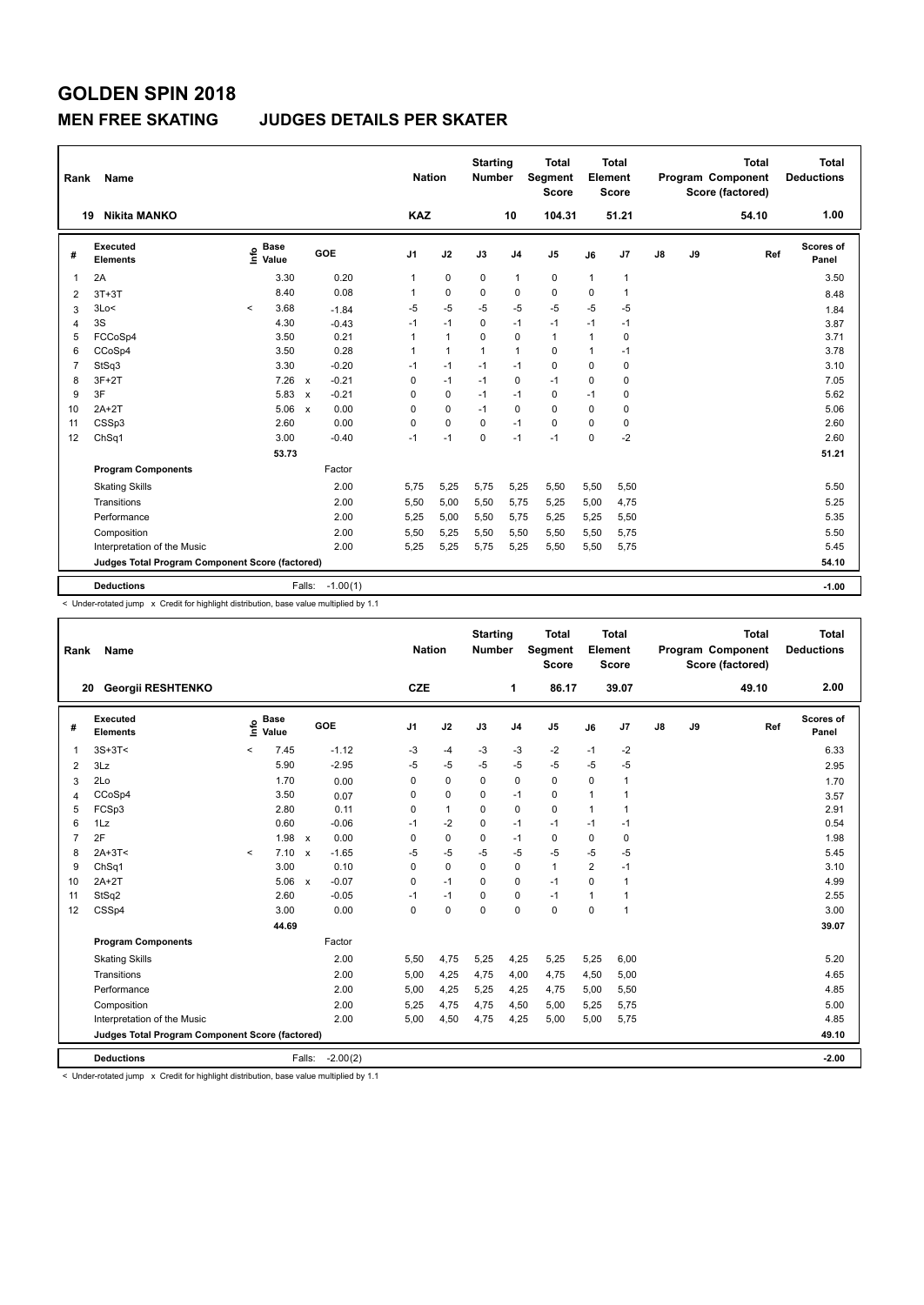#### **MEN FREE SKATING JUDGES DETAILS PER SKATER**

| <b>KAZ</b><br>104.31<br>51.21<br>54.10<br><b>Nikita MANKO</b><br>10<br>19<br>Executed<br><b>Base</b><br>e Base<br>⊆ Value<br><b>GOE</b><br>J9<br>J1<br>J2<br>J3<br>J <sub>5</sub><br>J7<br>$\mathsf{J}8$<br>J <sub>4</sub><br>J6<br>Ref<br>#<br><b>Elements</b> | <b>Total</b><br><b>Deductions</b> |
|-----------------------------------------------------------------------------------------------------------------------------------------------------------------------------------------------------------------------------------------------------------------|-----------------------------------|
|                                                                                                                                                                                                                                                                 | 1.00                              |
|                                                                                                                                                                                                                                                                 | <b>Scores of</b><br>Panel         |
| 0.20<br>2A<br>3.30<br>0<br>0<br>$\mathbf{1}$<br>0<br>1<br>$\mathbf{1}$<br>1<br>-1                                                                                                                                                                               | 3.50                              |
| 0.08<br>$\mathbf 0$<br>$\mathbf 0$<br>8.40<br>0<br>0<br>0<br>1<br>$3T+3T$<br>$\mathbf 1$<br>$\overline{2}$                                                                                                                                                      | 8.48                              |
| $-5$<br>$-5$<br>$-5$<br>$-5$<br>$-5$<br>$-5$<br>3Lo<<br>3.68<br>$-5$<br>$-1.84$<br>$\prec$<br>3                                                                                                                                                                 | 1.84                              |
| 3S<br>$-1$<br>$-1$<br>0<br>$-1$<br>$-1$<br>4.30<br>$-1$<br>$-1$<br>$-0.43$<br>$\overline{4}$                                                                                                                                                                    | 3.87                              |
| 0.21<br>$\mathbf 0$<br>5<br>FCCoSp4<br>3.50<br>$\mathbf{1}$<br>0<br>$\mathbf{1}$<br>$\mathbf 0$<br>1<br>1                                                                                                                                                       | 3.71                              |
| 0.28<br>3.50<br>$\mathbf{1}$<br>$\overline{1}$<br>$\mathbf 0$<br>CCoSp4<br>1<br>6<br>1<br>1<br>$-1$                                                                                                                                                             | 3.78                              |
| StSq3<br>3.30<br>$-0.20$<br>$\mathbf 0$<br>$-1$<br>$-1$<br>$-1$<br>0<br>0<br>$\overline{7}$<br>$-1$                                                                                                                                                             | 3.10                              |
| $3F+2T$<br>7.26<br>$-0.21$<br>$-1$<br>$-1$<br>8<br>0<br>$-1$<br>0<br>0<br>0<br>$\mathsf{x}$                                                                                                                                                                     | 7.05                              |
| 3F<br>5.83<br>$-0.21$<br>9<br>0<br>0<br>$-1$<br>0<br>$-1$<br>0<br>$\boldsymbol{\mathsf{x}}$<br>$-1$                                                                                                                                                             | 5.62                              |
| 0.00<br>0<br>$-1$<br>$\mathbf 0$<br>$\mathbf 0$<br>$\mathbf 0$<br>$2A+2T$<br>5.06<br>0<br>0<br>10<br>$\mathsf{x}$                                                                                                                                               | 5.06                              |
| 0.00<br>2.60<br>0<br>$\mathbf 0$<br>$\Omega$<br>$\mathbf 0$<br>CSSp3<br>0<br>0<br>11<br>$-1$                                                                                                                                                                    | 2.60                              |
| $-2$<br>ChSq1<br>3.00<br>$-1$<br>$\Omega$<br>$-1$<br>$\Omega$<br>12<br>$-0.40$<br>$-1$<br>$-1$                                                                                                                                                                  | 2.60                              |
| 53.73                                                                                                                                                                                                                                                           | 51.21                             |
| <b>Program Components</b><br>Factor                                                                                                                                                                                                                             |                                   |
| 2.00<br>5,25<br>5.25<br>5,50<br><b>Skating Skills</b><br>5.75<br>5.75<br>5,50<br>5,50                                                                                                                                                                           | 5.50                              |
| 2.00<br>Transitions<br>5,50<br>5,00<br>5,75<br>5,25<br>5,00<br>4,75<br>5,50                                                                                                                                                                                     | 5.25                              |
| 2.00<br>Performance<br>5,25<br>5,75<br>5,25<br>5,50<br>5,00<br>5,50<br>5,25                                                                                                                                                                                     | 5.35                              |
| 2.00<br>Composition<br>5,50<br>5,25<br>5,50<br>5,75<br>5,50<br>5,50<br>5,50                                                                                                                                                                                     | 5.50                              |
| 2.00<br>Interpretation of the Music<br>5,25<br>5,75<br>5,50<br>5,25<br>5,25<br>5,50<br>5,75                                                                                                                                                                     | 5.45                              |
| Judges Total Program Component Score (factored)                                                                                                                                                                                                                 | 54.10                             |
| $-1.00(1)$<br>Falls:<br><b>Deductions</b>                                                                                                                                                                                                                       | $-1.00$                           |

< Under-rotated jump x Credit for highlight distribution, base value multiplied by 1.1

| 2.00<br><b>CZE</b><br>86.17<br>39.07<br>49.10<br><b>Georgii RESHTENKO</b><br>1<br>20<br><b>Executed</b><br>Scores of<br><b>Base</b><br>١nfo<br>GOE<br>J2<br>J3<br>J8<br>J9<br>J <sub>1</sub><br>J <sub>4</sub><br>J <sub>5</sub><br>J7<br>Ref<br>#<br>J6<br><b>Elements</b><br>Value<br>Panel<br>$-1.12$<br>$-2$<br>6.33<br>$3S+3T<$<br>7.45<br>-3<br>$-4$<br>-3<br>-3<br>$-1$<br>$-2$<br>1<br>$\overline{\phantom{a}}$<br>$-5$<br>$-5$<br>$-5$<br>$-5$<br>$-5$<br>5.90<br>$-2.95$<br>$-5$<br>$-5$<br>3Lz<br>2.95<br>$\overline{2}$<br>$\mathbf 0$<br>2Lo<br>1.70<br>0<br>$\mathbf 0$<br>$\mathbf 0$<br>$\pmb{0}$<br>$\mathbf 0$<br>0.00<br>1<br>3<br>1.70<br>0<br>CCoSp4<br>3.50<br>0<br>0<br>0<br>1<br>$-1$<br>0.07<br>1<br>3.57<br>4<br>$\Omega$<br>FCSp3<br>0.11<br>$\mathbf{1}$<br>$\Omega$<br>2.80<br>$\Omega$<br>1<br>2.91<br>5<br>0<br>$\mathbf{1}$<br>0.60<br>$-0.06$<br>$-2$<br>$\Omega$<br>0.54<br>1Lz<br>$-1$<br>$-1$<br>$-1$<br>6<br>$-1$<br>$-1$<br>2F<br>1.98<br>0.00<br>0<br>0<br>0<br>0<br>1.98<br>7<br>0<br>$-1$<br>0<br>$\mathsf{x}$<br>$-5$<br>$-5$<br>$-5$<br>$2A+3T<$<br>7.10<br>$-1.65$<br>$-5$<br>$-5$<br>-5<br>$-5$<br>5.45<br>8<br>$\mathsf{x}$<br>$\prec$<br>$\overline{2}$<br>3.00<br>0.10<br>$\mathbf 0$<br>$\mathbf{1}$<br>3.10<br>ChSq1<br>0<br>0<br>0<br>$-1$<br>9<br>5.06<br>$-0.07$<br>$-1$<br>$\Omega$<br>4.99<br>$2A+2T$<br>0<br>$-1$<br>0<br>0<br>10<br>$\mathsf{x}$<br>1<br>StSq2<br>2.60<br>$-0.05$<br>$-1$<br>$\Omega$<br>$\mathbf 0$<br>$-1$<br>2.55<br>$-1$<br>1<br>1<br>11<br>$\Omega$<br>$\Omega$<br>CSSp4<br>3.00<br>0.00<br>0<br>0<br>$\Omega$<br>$\Omega$<br>3.00<br>12<br>$\mathbf{1}$<br>44.69<br>39.07<br><b>Program Components</b><br>Factor<br>2.00<br>4,75<br>5,25<br>5,25<br>5.20<br><b>Skating Skills</b><br>5,50<br>5,25<br>4,25<br>6,00<br>Transitions<br>2.00<br>4,25<br>4.65<br>5,00<br>4,75<br>4,00<br>4,75<br>4,50<br>5,00<br>2.00<br>4.85<br>Performance<br>5.00<br>4,25<br>5,25<br>4,25<br>4,75<br>5,00<br>5,50<br>5.00<br>Composition<br>2.00<br>5,25<br>4,75<br>4,75<br>5,00<br>4,50<br>5,25<br>5,75<br>2.00<br>4,50<br>4.85<br>Interpretation of the Music<br>5.00<br>4,75<br>4,25<br>5,00<br>5,00<br>5,75 | Rank | Name |  |  | <b>Nation</b> | <b>Starting</b><br><b>Number</b> | <b>Total</b><br>Segment<br><b>Score</b> | <b>Total</b><br>Element<br><b>Score</b> |  | <b>Total</b><br>Program Component<br>Score (factored) | <b>Total</b><br><b>Deductions</b> |
|------------------------------------------------------------------------------------------------------------------------------------------------------------------------------------------------------------------------------------------------------------------------------------------------------------------------------------------------------------------------------------------------------------------------------------------------------------------------------------------------------------------------------------------------------------------------------------------------------------------------------------------------------------------------------------------------------------------------------------------------------------------------------------------------------------------------------------------------------------------------------------------------------------------------------------------------------------------------------------------------------------------------------------------------------------------------------------------------------------------------------------------------------------------------------------------------------------------------------------------------------------------------------------------------------------------------------------------------------------------------------------------------------------------------------------------------------------------------------------------------------------------------------------------------------------------------------------------------------------------------------------------------------------------------------------------------------------------------------------------------------------------------------------------------------------------------------------------------------------------------------------------------------------------------------------------------------------------------------------------------------------------------------------------------------------------------------------------------------------------------------------------------------------------------------|------|------|--|--|---------------|----------------------------------|-----------------------------------------|-----------------------------------------|--|-------------------------------------------------------|-----------------------------------|
|                                                                                                                                                                                                                                                                                                                                                                                                                                                                                                                                                                                                                                                                                                                                                                                                                                                                                                                                                                                                                                                                                                                                                                                                                                                                                                                                                                                                                                                                                                                                                                                                                                                                                                                                                                                                                                                                                                                                                                                                                                                                                                                                                                              |      |      |  |  |               |                                  |                                         |                                         |  |                                                       |                                   |
|                                                                                                                                                                                                                                                                                                                                                                                                                                                                                                                                                                                                                                                                                                                                                                                                                                                                                                                                                                                                                                                                                                                                                                                                                                                                                                                                                                                                                                                                                                                                                                                                                                                                                                                                                                                                                                                                                                                                                                                                                                                                                                                                                                              |      |      |  |  |               |                                  |                                         |                                         |  |                                                       |                                   |
|                                                                                                                                                                                                                                                                                                                                                                                                                                                                                                                                                                                                                                                                                                                                                                                                                                                                                                                                                                                                                                                                                                                                                                                                                                                                                                                                                                                                                                                                                                                                                                                                                                                                                                                                                                                                                                                                                                                                                                                                                                                                                                                                                                              |      |      |  |  |               |                                  |                                         |                                         |  |                                                       |                                   |
|                                                                                                                                                                                                                                                                                                                                                                                                                                                                                                                                                                                                                                                                                                                                                                                                                                                                                                                                                                                                                                                                                                                                                                                                                                                                                                                                                                                                                                                                                                                                                                                                                                                                                                                                                                                                                                                                                                                                                                                                                                                                                                                                                                              |      |      |  |  |               |                                  |                                         |                                         |  |                                                       |                                   |
|                                                                                                                                                                                                                                                                                                                                                                                                                                                                                                                                                                                                                                                                                                                                                                                                                                                                                                                                                                                                                                                                                                                                                                                                                                                                                                                                                                                                                                                                                                                                                                                                                                                                                                                                                                                                                                                                                                                                                                                                                                                                                                                                                                              |      |      |  |  |               |                                  |                                         |                                         |  |                                                       |                                   |
|                                                                                                                                                                                                                                                                                                                                                                                                                                                                                                                                                                                                                                                                                                                                                                                                                                                                                                                                                                                                                                                                                                                                                                                                                                                                                                                                                                                                                                                                                                                                                                                                                                                                                                                                                                                                                                                                                                                                                                                                                                                                                                                                                                              |      |      |  |  |               |                                  |                                         |                                         |  |                                                       |                                   |
|                                                                                                                                                                                                                                                                                                                                                                                                                                                                                                                                                                                                                                                                                                                                                                                                                                                                                                                                                                                                                                                                                                                                                                                                                                                                                                                                                                                                                                                                                                                                                                                                                                                                                                                                                                                                                                                                                                                                                                                                                                                                                                                                                                              |      |      |  |  |               |                                  |                                         |                                         |  |                                                       |                                   |
|                                                                                                                                                                                                                                                                                                                                                                                                                                                                                                                                                                                                                                                                                                                                                                                                                                                                                                                                                                                                                                                                                                                                                                                                                                                                                                                                                                                                                                                                                                                                                                                                                                                                                                                                                                                                                                                                                                                                                                                                                                                                                                                                                                              |      |      |  |  |               |                                  |                                         |                                         |  |                                                       |                                   |
|                                                                                                                                                                                                                                                                                                                                                                                                                                                                                                                                                                                                                                                                                                                                                                                                                                                                                                                                                                                                                                                                                                                                                                                                                                                                                                                                                                                                                                                                                                                                                                                                                                                                                                                                                                                                                                                                                                                                                                                                                                                                                                                                                                              |      |      |  |  |               |                                  |                                         |                                         |  |                                                       |                                   |
|                                                                                                                                                                                                                                                                                                                                                                                                                                                                                                                                                                                                                                                                                                                                                                                                                                                                                                                                                                                                                                                                                                                                                                                                                                                                                                                                                                                                                                                                                                                                                                                                                                                                                                                                                                                                                                                                                                                                                                                                                                                                                                                                                                              |      |      |  |  |               |                                  |                                         |                                         |  |                                                       |                                   |
|                                                                                                                                                                                                                                                                                                                                                                                                                                                                                                                                                                                                                                                                                                                                                                                                                                                                                                                                                                                                                                                                                                                                                                                                                                                                                                                                                                                                                                                                                                                                                                                                                                                                                                                                                                                                                                                                                                                                                                                                                                                                                                                                                                              |      |      |  |  |               |                                  |                                         |                                         |  |                                                       |                                   |
|                                                                                                                                                                                                                                                                                                                                                                                                                                                                                                                                                                                                                                                                                                                                                                                                                                                                                                                                                                                                                                                                                                                                                                                                                                                                                                                                                                                                                                                                                                                                                                                                                                                                                                                                                                                                                                                                                                                                                                                                                                                                                                                                                                              |      |      |  |  |               |                                  |                                         |                                         |  |                                                       |                                   |
|                                                                                                                                                                                                                                                                                                                                                                                                                                                                                                                                                                                                                                                                                                                                                                                                                                                                                                                                                                                                                                                                                                                                                                                                                                                                                                                                                                                                                                                                                                                                                                                                                                                                                                                                                                                                                                                                                                                                                                                                                                                                                                                                                                              |      |      |  |  |               |                                  |                                         |                                         |  |                                                       |                                   |
|                                                                                                                                                                                                                                                                                                                                                                                                                                                                                                                                                                                                                                                                                                                                                                                                                                                                                                                                                                                                                                                                                                                                                                                                                                                                                                                                                                                                                                                                                                                                                                                                                                                                                                                                                                                                                                                                                                                                                                                                                                                                                                                                                                              |      |      |  |  |               |                                  |                                         |                                         |  |                                                       |                                   |
|                                                                                                                                                                                                                                                                                                                                                                                                                                                                                                                                                                                                                                                                                                                                                                                                                                                                                                                                                                                                                                                                                                                                                                                                                                                                                                                                                                                                                                                                                                                                                                                                                                                                                                                                                                                                                                                                                                                                                                                                                                                                                                                                                                              |      |      |  |  |               |                                  |                                         |                                         |  |                                                       |                                   |
|                                                                                                                                                                                                                                                                                                                                                                                                                                                                                                                                                                                                                                                                                                                                                                                                                                                                                                                                                                                                                                                                                                                                                                                                                                                                                                                                                                                                                                                                                                                                                                                                                                                                                                                                                                                                                                                                                                                                                                                                                                                                                                                                                                              |      |      |  |  |               |                                  |                                         |                                         |  |                                                       |                                   |
|                                                                                                                                                                                                                                                                                                                                                                                                                                                                                                                                                                                                                                                                                                                                                                                                                                                                                                                                                                                                                                                                                                                                                                                                                                                                                                                                                                                                                                                                                                                                                                                                                                                                                                                                                                                                                                                                                                                                                                                                                                                                                                                                                                              |      |      |  |  |               |                                  |                                         |                                         |  |                                                       |                                   |
|                                                                                                                                                                                                                                                                                                                                                                                                                                                                                                                                                                                                                                                                                                                                                                                                                                                                                                                                                                                                                                                                                                                                                                                                                                                                                                                                                                                                                                                                                                                                                                                                                                                                                                                                                                                                                                                                                                                                                                                                                                                                                                                                                                              |      |      |  |  |               |                                  |                                         |                                         |  |                                                       |                                   |
|                                                                                                                                                                                                                                                                                                                                                                                                                                                                                                                                                                                                                                                                                                                                                                                                                                                                                                                                                                                                                                                                                                                                                                                                                                                                                                                                                                                                                                                                                                                                                                                                                                                                                                                                                                                                                                                                                                                                                                                                                                                                                                                                                                              |      |      |  |  |               |                                  |                                         |                                         |  |                                                       |                                   |
|                                                                                                                                                                                                                                                                                                                                                                                                                                                                                                                                                                                                                                                                                                                                                                                                                                                                                                                                                                                                                                                                                                                                                                                                                                                                                                                                                                                                                                                                                                                                                                                                                                                                                                                                                                                                                                                                                                                                                                                                                                                                                                                                                                              |      |      |  |  |               |                                  |                                         |                                         |  |                                                       |                                   |
|                                                                                                                                                                                                                                                                                                                                                                                                                                                                                                                                                                                                                                                                                                                                                                                                                                                                                                                                                                                                                                                                                                                                                                                                                                                                                                                                                                                                                                                                                                                                                                                                                                                                                                                                                                                                                                                                                                                                                                                                                                                                                                                                                                              |      |      |  |  |               |                                  |                                         |                                         |  |                                                       |                                   |
| Judges Total Program Component Score (factored)<br>49.10                                                                                                                                                                                                                                                                                                                                                                                                                                                                                                                                                                                                                                                                                                                                                                                                                                                                                                                                                                                                                                                                                                                                                                                                                                                                                                                                                                                                                                                                                                                                                                                                                                                                                                                                                                                                                                                                                                                                                                                                                                                                                                                     |      |      |  |  |               |                                  |                                         |                                         |  |                                                       |                                   |
| $-2.00(2)$<br><b>Deductions</b><br>Falls:<br>$-2.00$                                                                                                                                                                                                                                                                                                                                                                                                                                                                                                                                                                                                                                                                                                                                                                                                                                                                                                                                                                                                                                                                                                                                                                                                                                                                                                                                                                                                                                                                                                                                                                                                                                                                                                                                                                                                                                                                                                                                                                                                                                                                                                                         |      |      |  |  |               |                                  |                                         |                                         |  |                                                       |                                   |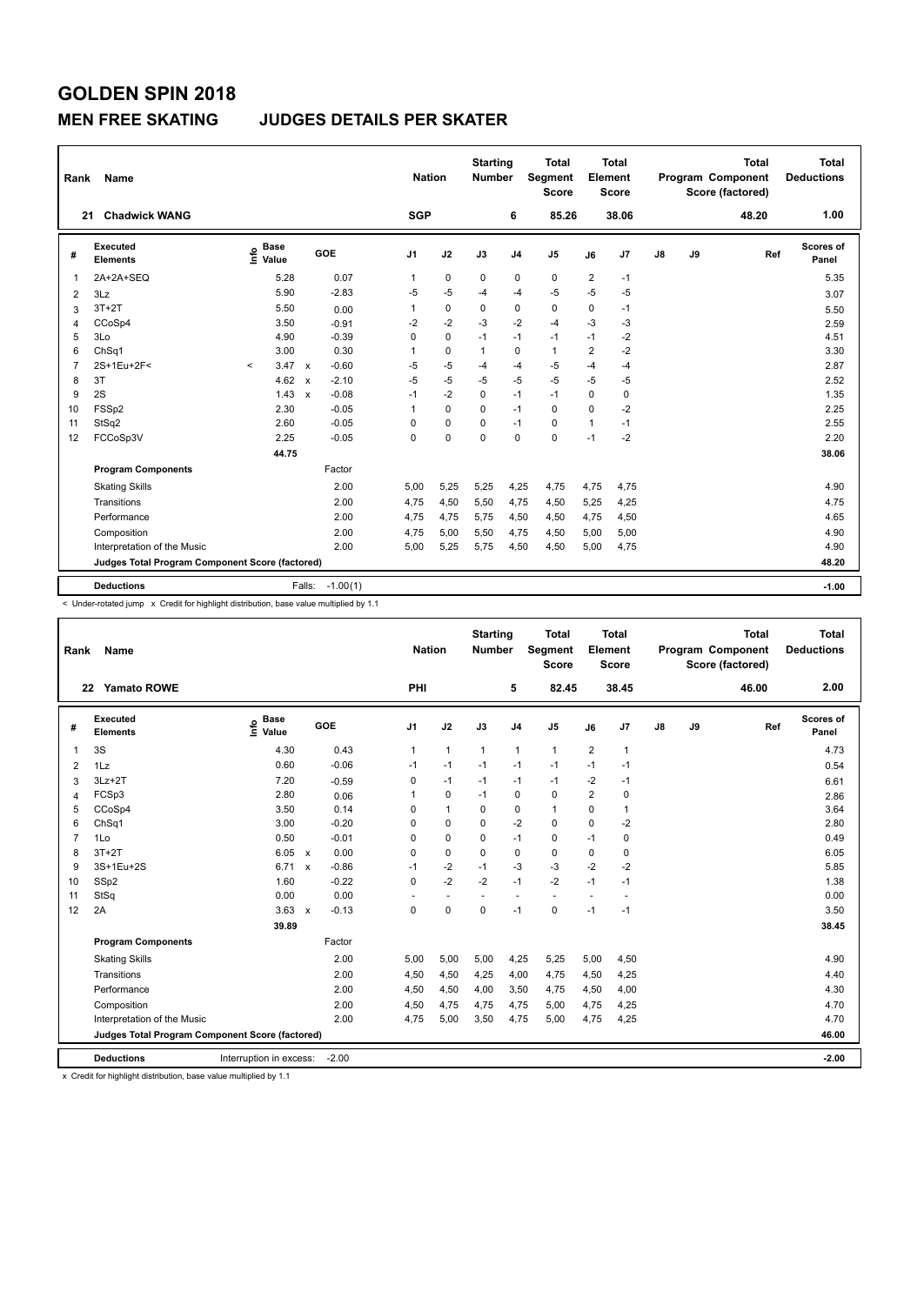### **MEN FREE SKATING JUDGES DETAILS PER SKATER**

| Rank           | Name                                            |                           |              |            | <b>Nation</b>  |             | <b>Starting</b><br><b>Number</b> |                | <b>Total</b><br>Segment<br><b>Score</b> |                | <b>Total</b><br>Element<br><b>Score</b> |               |    | <b>Total</b><br>Program Component<br>Score (factored) | <b>Total</b><br><b>Deductions</b> |
|----------------|-------------------------------------------------|---------------------------|--------------|------------|----------------|-------------|----------------------------------|----------------|-----------------------------------------|----------------|-----------------------------------------|---------------|----|-------------------------------------------------------|-----------------------------------|
| 21             | <b>Chadwick WANG</b>                            |                           |              |            | <b>SGP</b>     |             |                                  | 6              | 85.26                                   |                | 38.06                                   |               |    | 48.20                                                 | 1.00                              |
| #              | <b>Executed</b><br><b>Elements</b>              | Base<br>e Base<br>⊆ Value |              | GOE        | J <sub>1</sub> | J2          | J3                               | J <sub>4</sub> | J5                                      | J6             | J7                                      | $\mathsf{J}8$ | J9 | Ref                                                   | <b>Scores of</b><br>Panel         |
| 1              | 2A+2A+SEQ                                       | 5.28                      |              | 0.07       | 1              | $\mathbf 0$ | 0                                | 0              | $\pmb{0}$                               | $\overline{2}$ | $-1$                                    |               |    |                                                       | 5.35                              |
| $\overline{2}$ | 3Lz                                             | 5.90                      |              | $-2.83$    | $-5$           | $-5$        | $-4$                             | -4             | $-5$                                    | $-5$           | $-5$                                    |               |    |                                                       | 3.07                              |
| 3              | $3T+2T$                                         | 5.50                      |              | 0.00       | 1              | 0           | 0                                | 0              | $\mathbf 0$                             | 0              | $-1$                                    |               |    |                                                       | 5.50                              |
| 4              | CCoSp4                                          | 3.50                      |              | $-0.91$    | $-2$           | $-2$        | $-3$                             | $-2$           | $-4$                                    | $-3$           | $-3$                                    |               |    |                                                       | 2.59                              |
| 5              | 3Lo                                             | 4.90                      |              | $-0.39$    | 0              | $\mathbf 0$ | $-1$                             | $-1$           | $-1$                                    | $-1$           | $-2$                                    |               |    |                                                       | 4.51                              |
| 6              | ChSq1                                           | 3.00                      |              | 0.30       | 1              | $\mathbf 0$ | $\overline{1}$                   | $\mathbf 0$    | $\mathbf{1}$                            | $\overline{2}$ | $-2$                                    |               |    |                                                       | 3.30                              |
| $\overline{7}$ | 2S+1Eu+2F<                                      | 3.47<br>$\prec$           | $\mathsf{x}$ | $-0.60$    | $-5$           | $-5$        | $-4$                             | -4             | -5                                      | $-4$           | $-4$                                    |               |    |                                                       | 2.87                              |
| 8              | 3T                                              | 4.62                      | $\mathbf x$  | $-2.10$    | $-5$           | $-5$        | $-5$                             | $-5$           | $-5$                                    | -5             | $-5$                                    |               |    |                                                       | 2.52                              |
| 9              | 2S                                              | 1.43                      | $\mathbf{x}$ | $-0.08$    | $-1$           | $-2$        | $\mathbf 0$                      | $-1$           | $-1$                                    | 0              | 0                                       |               |    |                                                       | 1.35                              |
| 10             | FSSp2                                           | 2.30                      |              | $-0.05$    | 1              | $\mathbf 0$ | 0                                | $-1$           | $\mathbf 0$                             | $\Omega$       | $-2$                                    |               |    |                                                       | 2.25                              |
| 11             | StSq2                                           | 2.60                      |              | $-0.05$    | 0              | 0           | 0                                | $-1$           | 0                                       | $\mathbf{1}$   | $-1$                                    |               |    |                                                       | 2.55                              |
| 12             | FCCoSp3V                                        | 2.25                      |              | $-0.05$    | 0              | 0           | $\Omega$                         | $\mathbf 0$    | $\mathbf 0$                             | $-1$           | $-2$                                    |               |    |                                                       | 2.20                              |
|                |                                                 | 44.75                     |              |            |                |             |                                  |                |                                         |                |                                         |               |    |                                                       | 38.06                             |
|                | <b>Program Components</b>                       |                           |              | Factor     |                |             |                                  |                |                                         |                |                                         |               |    |                                                       |                                   |
|                | <b>Skating Skills</b>                           |                           |              | 2.00       | 5.00           | 5,25        | 5,25                             | 4,25           | 4,75                                    | 4,75           | 4,75                                    |               |    |                                                       | 4.90                              |
|                | Transitions                                     |                           |              | 2.00       | 4.75           | 4,50        | 5,50                             | 4,75           | 4,50                                    | 5,25           | 4,25                                    |               |    |                                                       | 4.75                              |
|                | Performance                                     |                           |              | 2.00       | 4,75           | 4,75        | 5,75                             | 4,50           | 4,50                                    | 4,75           | 4,50                                    |               |    |                                                       | 4.65                              |
|                | Composition                                     |                           |              | 2.00       | 4,75           | 5,00        | 5,50                             | 4,75           | 4,50                                    | 5,00           | 5,00                                    |               |    |                                                       | 4.90                              |
|                | Interpretation of the Music                     |                           |              | 2.00       | 5,00           | 5,25        | 5.75                             | 4,50           | 4,50                                    | 5,00           | 4,75                                    |               |    |                                                       | 4.90                              |
|                | Judges Total Program Component Score (factored) |                           |              |            |                |             |                                  |                |                                         |                |                                         |               |    |                                                       | 48.20                             |
|                | <b>Deductions</b>                               |                           | Falls:       | $-1.00(1)$ |                |             |                                  |                |                                         |                |                                         |               |    |                                                       | $-1.00$                           |

< Under-rotated jump x Credit for highlight distribution, base value multiplied by 1.1

| Rank           | <b>Name</b>                                     |                                  |                           |         | <b>Nation</b>  |                | <b>Starting</b><br><b>Number</b> |                | <b>Total</b><br>Segment<br><b>Score</b> |                         | <b>Total</b><br>Element<br><b>Score</b> |    |    | <b>Total</b><br>Program Component<br>Score (factored) | <b>Total</b><br><b>Deductions</b> |
|----------------|-------------------------------------------------|----------------------------------|---------------------------|---------|----------------|----------------|----------------------------------|----------------|-----------------------------------------|-------------------------|-----------------------------------------|----|----|-------------------------------------------------------|-----------------------------------|
|                | $22 \,$<br><b>Yamato ROWE</b>                   |                                  |                           |         | PHI            |                |                                  | 5              | 82.45                                   |                         | 38.45                                   |    |    | 46.00                                                 | 2.00                              |
| #              | Executed<br><b>Elements</b>                     | <b>Base</b><br>e Base<br>⊆ Value | GOE                       |         | J <sub>1</sub> | J2             | J3                               | J <sub>4</sub> | J <sub>5</sub>                          | J6                      | J7                                      | J8 | J9 | Ref                                                   | Scores of<br>Panel                |
| 1              | 3S                                              | 4.30                             |                           | 0.43    | 1              | $\overline{1}$ | $\mathbf{1}$                     | $\mathbf{1}$   | $\mathbf{1}$                            | $\overline{2}$          | 1                                       |    |    |                                                       | 4.73                              |
| $\overline{2}$ | 1Lz                                             | 0.60                             |                           | $-0.06$ | $-1$           | $-1$           | $-1$                             | $-1$           | $-1$                                    | $-1$                    | $-1$                                    |    |    |                                                       | 0.54                              |
| 3              | $3Lz + 2T$                                      | 7.20                             |                           | $-0.59$ | 0              | $-1$           | $-1$                             | $-1$           | $-1$                                    | $-2$                    | $-1$                                    |    |    |                                                       | 6.61                              |
| 4              | FCSp3                                           | 2.80                             |                           | 0.06    | 1              | 0              | $-1$                             | 0              | 0                                       | $\overline{\mathbf{c}}$ | $\mathbf 0$                             |    |    |                                                       | 2.86                              |
| 5              | CCoSp4                                          | 3.50                             |                           | 0.14    | 0              | $\overline{1}$ | $\Omega$                         | $\mathbf 0$    | $\mathbf{1}$                            | $\Omega$                | 1                                       |    |    |                                                       | 3.64                              |
| 6              | ChSq1                                           | 3.00                             |                           | $-0.20$ | 0              | 0              | $\Omega$                         | $-2$           | $\mathbf 0$                             | $\Omega$                | $-2$                                    |    |    |                                                       | 2.80                              |
| $\overline{7}$ | 1Lo                                             | 0.50                             |                           | $-0.01$ | 0              | $\mathbf 0$    | 0                                | $-1$           | $\mathbf 0$                             | $-1$                    | 0                                       |    |    |                                                       | 0.49                              |
| 8              | $3T+2T$                                         | 6.05                             | $\mathsf{x}$              | 0.00    | 0              | $\mathbf 0$    | 0                                | $\mathbf 0$    | $\mathbf 0$                             | 0                       | 0                                       |    |    |                                                       | 6.05                              |
| 9              | 3S+1Eu+2S                                       | 6.71                             | $\mathsf{x}$              | $-0.86$ | $-1$           | $-2$           | $-1$                             | $-3$           | $-3$                                    | $-2$                    | $-2$                                    |    |    |                                                       | 5.85                              |
| 10             | SSp2                                            | 1.60                             |                           | $-0.22$ | 0              | $-2$           | $-2$                             | $-1$           | $-2$                                    | $-1$                    | $-1$                                    |    |    |                                                       | 1.38                              |
| 11             | StSq                                            | 0.00                             |                           | 0.00    |                | $\overline{a}$ |                                  |                | $\overline{a}$                          |                         |                                         |    |    |                                                       | 0.00                              |
| 12             | 2A                                              | 3.63                             | $\boldsymbol{\mathsf{x}}$ | $-0.13$ | 0              | $\mathbf 0$    | $\mathbf 0$                      | $-1$           | $\mathbf 0$                             | $-1$                    | $-1$                                    |    |    |                                                       | 3.50                              |
|                |                                                 | 39.89                            |                           |         |                |                |                                  |                |                                         |                         |                                         |    |    |                                                       | 38.45                             |
|                | <b>Program Components</b>                       |                                  |                           | Factor  |                |                |                                  |                |                                         |                         |                                         |    |    |                                                       |                                   |
|                | <b>Skating Skills</b>                           |                                  |                           | 2.00    | 5,00           | 5,00           | 5,00                             | 4,25           | 5,25                                    | 5,00                    | 4,50                                    |    |    |                                                       | 4.90                              |
|                | Transitions                                     |                                  |                           | 2.00    | 4,50           | 4,50           | 4,25                             | 4,00           | 4,75                                    | 4,50                    | 4,25                                    |    |    |                                                       | 4.40                              |
|                | Performance                                     |                                  |                           | 2.00    | 4,50           | 4,50           | 4,00                             | 3.50           | 4,75                                    | 4,50                    | 4,00                                    |    |    |                                                       | 4.30                              |
|                | Composition                                     |                                  |                           | 2.00    | 4,50           | 4,75           | 4,75                             | 4,75           | 5,00                                    | 4,75                    | 4,25                                    |    |    |                                                       | 4.70                              |
|                | Interpretation of the Music                     |                                  |                           | 2.00    | 4,75           | 5,00           | 3,50                             | 4,75           | 5,00                                    | 4,75                    | 4,25                                    |    |    |                                                       | 4.70                              |
|                | Judges Total Program Component Score (factored) |                                  |                           |         |                |                |                                  |                |                                         |                         |                                         |    |    |                                                       | 46.00                             |
|                | <b>Deductions</b>                               | Interruption in excess:          |                           | $-2.00$ |                |                |                                  |                |                                         |                         |                                         |    |    |                                                       | $-2.00$                           |

x Credit for highlight distribution, base value multiplied by 1.1